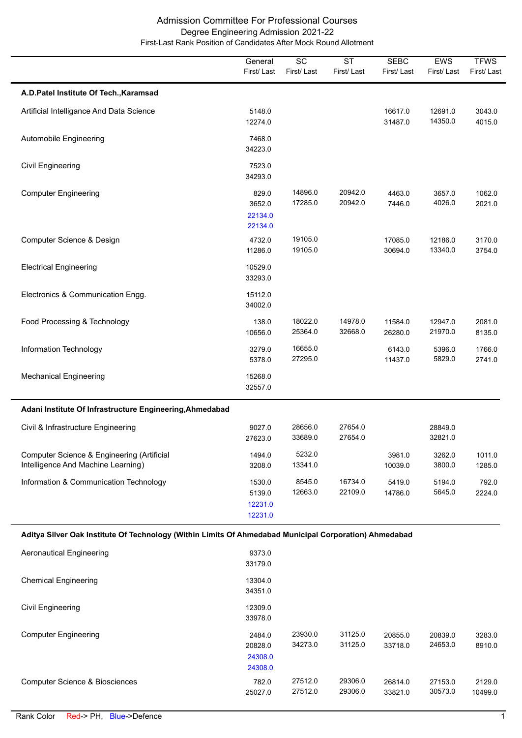|                                                                                                        | General<br>First/Last                   | SC<br>First/Last   | <b>ST</b><br>First/Last | <b>SEBC</b><br>First/Last | EWS<br>First/Last  | <b>TFWS</b><br>First/Last |
|--------------------------------------------------------------------------------------------------------|-----------------------------------------|--------------------|-------------------------|---------------------------|--------------------|---------------------------|
| A.D.Patel Institute Of Tech., Karamsad                                                                 |                                         |                    |                         |                           |                    |                           |
| Artificial Intelligance And Data Science                                                               | 5148.0<br>12274.0                       |                    |                         | 16617.0<br>31487.0        | 12691.0<br>14350.0 | 3043.0<br>4015.0          |
| Automobile Engineering                                                                                 | 7468.0<br>34223.0                       |                    |                         |                           |                    |                           |
| <b>Civil Engineering</b>                                                                               | 7523.0<br>34293.0                       |                    |                         |                           |                    |                           |
| <b>Computer Engineering</b>                                                                            | 829.0<br>3652.0<br>22134.0<br>22134.0   | 14896.0<br>17285.0 | 20942.0<br>20942.0      | 4463.0<br>7446.0          | 3657.0<br>4026.0   | 1062.0<br>2021.0          |
| Computer Science & Design                                                                              | 4732.0<br>11286.0                       | 19105.0<br>19105.0 |                         | 17085.0<br>30694.0        | 12186.0<br>13340.0 | 3170.0<br>3754.0          |
| <b>Electrical Engineering</b>                                                                          | 10529.0<br>33293.0                      |                    |                         |                           |                    |                           |
| Electronics & Communication Engg.                                                                      | 15112.0<br>34002.0                      |                    |                         |                           |                    |                           |
| Food Processing & Technology                                                                           | 138.0<br>10656.0                        | 18022.0<br>25364.0 | 14978.0<br>32668.0      | 11584.0<br>26280.0        | 12947.0<br>21970.0 | 2081.0<br>8135.0          |
| Information Technology                                                                                 | 3279.0<br>5378.0                        | 16655.0<br>27295.0 |                         | 6143.0<br>11437.0         | 5396.0<br>5829.0   | 1766.0<br>2741.0          |
| <b>Mechanical Engineering</b>                                                                          | 15268.0<br>32557.0                      |                    |                         |                           |                    |                           |
| Adani Institute Of Infrastructure Engineering, Ahmedabad                                               |                                         |                    |                         |                           |                    |                           |
| Civil & Infrastructure Engineering                                                                     | 9027.0<br>27623.0                       | 28656.0<br>33689.0 | 27654.0<br>27654.0      |                           | 28849.0<br>32821.0 |                           |
| Computer Science & Engineering (Artificial<br>Intelligence And Machine Learning)                       | 1494.0<br>3208.0                        | 5232.0<br>13341.0  |                         | 3981.0<br>10039.0         | 3262.0<br>3800.0   | 1011.0<br>1285.0          |
| Information & Communication Technology                                                                 | 1530.0<br>5139.0<br>12231.0<br>12231.0  | 8545.0<br>12663.0  | 16734.0<br>22109.0      | 5419.0<br>14786.0         | 5194.0<br>5645.0   | 792.0<br>2224.0           |
| Aditya Silver Oak Institute Of Technology (Within Limits Of Ahmedabad Municipal Corporation) Ahmedabad |                                         |                    |                         |                           |                    |                           |
| <b>Aeronautical Engineering</b>                                                                        | 9373.0<br>33179.0                       |                    |                         |                           |                    |                           |
| <b>Chemical Engineering</b>                                                                            | 13304.0<br>34351.0                      |                    |                         |                           |                    |                           |
| <b>Civil Engineering</b>                                                                               | 12309.0<br>33978.0                      |                    |                         |                           |                    |                           |
| <b>Computer Engineering</b>                                                                            | 2484.0<br>20828.0<br>24308.0<br>24308.0 | 23930.0<br>34273.0 | 31125.0<br>31125.0      | 20855.0<br>33718.0        | 20839.0<br>24653.0 | 3283.0<br>8910.0          |
| <b>Computer Science &amp; Biosciences</b>                                                              | 782.0<br>25027.0                        | 27512.0<br>27512.0 | 29306.0<br>29306.0      | 26814.0<br>33821.0        | 27153.0<br>30573.0 | 2129.0<br>10499.0         |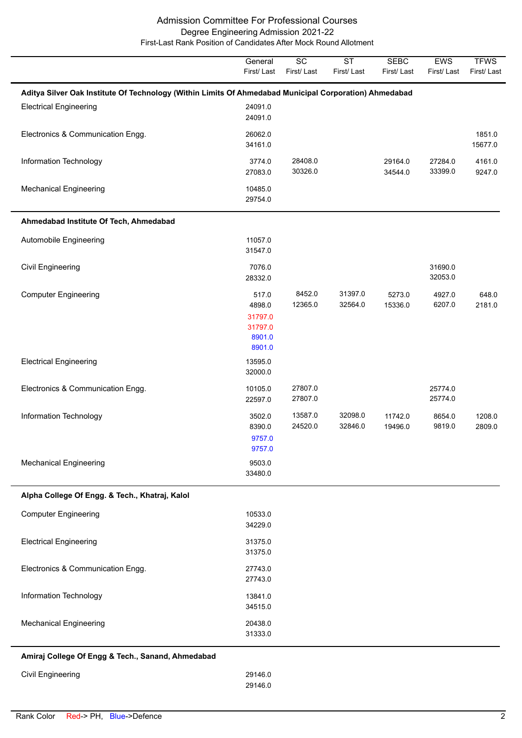|                                                                                                        | General                                                   | $\overline{SC}$    | $\overline{\text{ST}}$ | <b>SEBC</b>        | <b>EWS</b>         | <b>TFWS</b>       |
|--------------------------------------------------------------------------------------------------------|-----------------------------------------------------------|--------------------|------------------------|--------------------|--------------------|-------------------|
|                                                                                                        | First/Last                                                | First/Last         | First/Last             | First/Last         | First/Last         | First/Last        |
| Aditya Silver Oak Institute Of Technology (Within Limits Of Ahmedabad Municipal Corporation) Ahmedabad |                                                           |                    |                        |                    |                    |                   |
| <b>Electrical Engineering</b>                                                                          | 24091.0<br>24091.0                                        |                    |                        |                    |                    |                   |
| Electronics & Communication Engg.                                                                      | 26062.0<br>34161.0                                        |                    |                        |                    |                    | 1851.0<br>15677.0 |
| Information Technology                                                                                 | 3774.0<br>27083.0                                         | 28408.0<br>30326.0 |                        | 29164.0<br>34544.0 | 27284.0<br>33399.0 | 4161.0<br>9247.0  |
| <b>Mechanical Engineering</b>                                                                          | 10485.0<br>29754.0                                        |                    |                        |                    |                    |                   |
| Ahmedabad Institute Of Tech, Ahmedabad                                                                 |                                                           |                    |                        |                    |                    |                   |
| Automobile Engineering                                                                                 | 11057.0<br>31547.0                                        |                    |                        |                    |                    |                   |
| <b>Civil Engineering</b>                                                                               | 7076.0<br>28332.0                                         |                    |                        |                    | 31690.0<br>32053.0 |                   |
| <b>Computer Engineering</b>                                                                            | 517.0<br>4898.0<br>31797.0<br>31797.0<br>8901.0<br>8901.0 | 8452.0<br>12365.0  | 31397.0<br>32564.0     | 5273.0<br>15336.0  | 4927.0<br>6207.0   | 648.0<br>2181.0   |
| <b>Electrical Engineering</b>                                                                          | 13595.0<br>32000.0                                        |                    |                        |                    |                    |                   |
| Electronics & Communication Engg.                                                                      | 10105.0<br>22597.0                                        | 27807.0<br>27807.0 |                        |                    | 25774.0<br>25774.0 |                   |
| Information Technology                                                                                 | 3502.0<br>8390.0<br>9757.0<br>9757.0                      | 13587.0<br>24520.0 | 32098.0<br>32846.0     | 11742.0<br>19496.0 | 8654.0<br>9819.0   | 1208.0<br>2809.0  |
| <b>Mechanical Engineering</b>                                                                          | 9503.0<br>33480.0                                         |                    |                        |                    |                    |                   |
| Alpha College Of Engg. & Tech., Khatraj, Kalol                                                         |                                                           |                    |                        |                    |                    |                   |
| <b>Computer Engineering</b>                                                                            | 10533.0<br>34229.0                                        |                    |                        |                    |                    |                   |
| <b>Electrical Engineering</b>                                                                          | 31375.0<br>31375.0                                        |                    |                        |                    |                    |                   |
| Electronics & Communication Engg.                                                                      | 27743.0<br>27743.0                                        |                    |                        |                    |                    |                   |
| Information Technology                                                                                 | 13841.0<br>34515.0                                        |                    |                        |                    |                    |                   |
| <b>Mechanical Engineering</b>                                                                          | 20438.0<br>31333.0                                        |                    |                        |                    |                    |                   |
| Amiraj College Of Engg & Tech., Sanand, Ahmedabad                                                      |                                                           |                    |                        |                    |                    |                   |
| Civil Engineering                                                                                      | 29146.0<br>29146.0                                        |                    |                        |                    |                    |                   |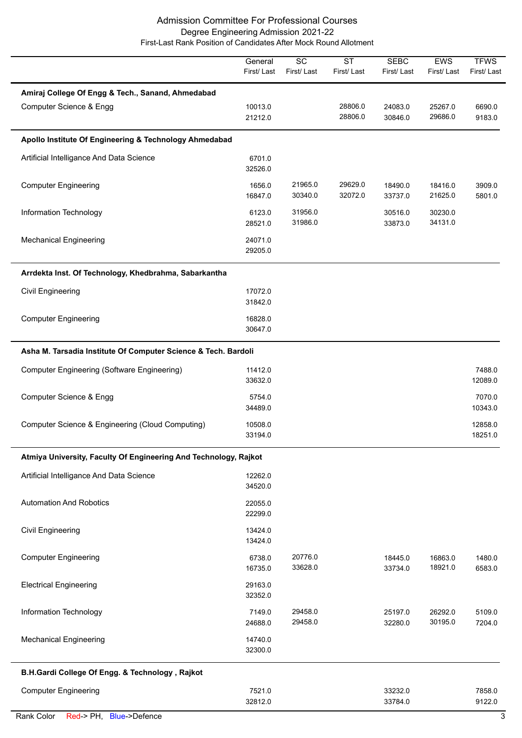|                                                                              | General<br>First/Last | $\overline{SC}$<br>First/Last | <b>ST</b><br>First/Last | <b>SEBC</b><br>First/Last | EWS<br>First/Last  | <b>TFWS</b><br>First/Last |
|------------------------------------------------------------------------------|-----------------------|-------------------------------|-------------------------|---------------------------|--------------------|---------------------------|
| Amiraj College Of Engg & Tech., Sanand, Ahmedabad<br>Computer Science & Engg | 10013.0<br>21212.0    |                               | 28806.0<br>28806.0      | 24083.0<br>30846.0        | 25267.0<br>29686.0 | 6690.0<br>9183.0          |
| Apollo Institute Of Engineering & Technology Ahmedabad                       |                       |                               |                         |                           |                    |                           |
| Artificial Intelligance And Data Science                                     | 6701.0<br>32526.0     |                               |                         |                           |                    |                           |
| <b>Computer Engineering</b>                                                  | 1656.0<br>16847.0     | 21965.0<br>30340.0            | 29629.0<br>32072.0      | 18490.0<br>33737.0        | 18416.0<br>21625.0 | 3909.0<br>5801.0          |
| Information Technology                                                       | 6123.0<br>28521.0     | 31956.0<br>31986.0            |                         | 30516.0<br>33873.0        | 30230.0<br>34131.0 |                           |
| <b>Mechanical Engineering</b>                                                | 24071.0<br>29205.0    |                               |                         |                           |                    |                           |
| Arrdekta Inst. Of Technology, Khedbrahma, Sabarkantha                        |                       |                               |                         |                           |                    |                           |
| Civil Engineering                                                            | 17072.0<br>31842.0    |                               |                         |                           |                    |                           |
| <b>Computer Engineering</b>                                                  | 16828.0<br>30647.0    |                               |                         |                           |                    |                           |
| Asha M. Tarsadia Institute Of Computer Science & Tech. Bardoli               |                       |                               |                         |                           |                    |                           |
| <b>Computer Engineering (Software Engineering)</b>                           | 11412.0<br>33632.0    |                               |                         |                           |                    | 7488.0<br>12089.0         |
| Computer Science & Engg                                                      | 5754.0<br>34489.0     |                               |                         |                           |                    | 7070.0<br>10343.0         |
| Computer Science & Engineering (Cloud Computing)                             | 10508.0<br>33194.0    |                               |                         |                           |                    | 12858.0<br>18251.0        |
| Atmiya University, Faculty Of Engineering And Technology, Rajkot             |                       |                               |                         |                           |                    |                           |
| Artificial Intelligance And Data Science                                     | 12262.0<br>34520.0    |                               |                         |                           |                    |                           |
| <b>Automation And Robotics</b>                                               | 22055.0<br>22299.0    |                               |                         |                           |                    |                           |
| Civil Engineering                                                            | 13424.0<br>13424.0    |                               |                         |                           |                    |                           |
| <b>Computer Engineering</b>                                                  | 6738.0<br>16735.0     | 20776.0<br>33628.0            |                         | 18445.0<br>33734.0        | 16863.0<br>18921.0 | 1480.0<br>6583.0          |
| <b>Electrical Engineering</b>                                                | 29163.0<br>32352.0    |                               |                         |                           |                    |                           |
| Information Technology                                                       | 7149.0<br>24688.0     | 29458.0<br>29458.0            |                         | 25197.0<br>32280.0        | 26292.0<br>30195.0 | 5109.0<br>7204.0          |
| <b>Mechanical Engineering</b>                                                | 14740.0<br>32300.0    |                               |                         |                           |                    |                           |
| B.H.Gardi College Of Engg. & Technology, Rajkot                              |                       |                               |                         |                           |                    |                           |
| <b>Computer Engineering</b>                                                  | 7521.0<br>32812.0     |                               |                         | 33232.0<br>33784.0        |                    | 7858.0<br>9122.0          |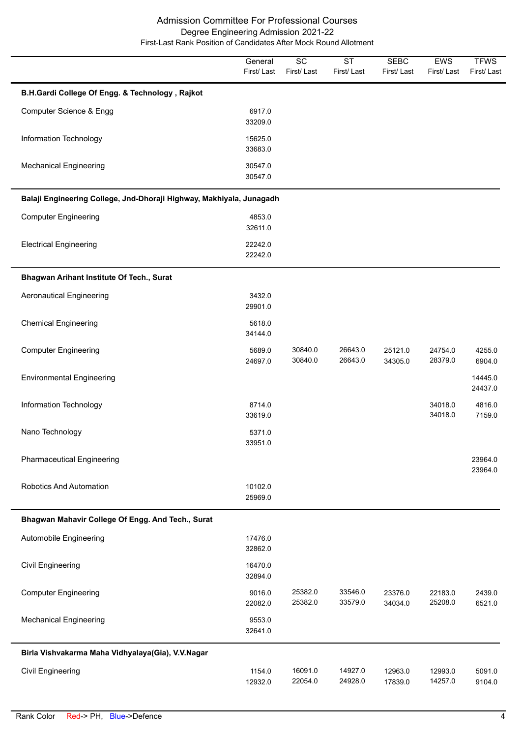|                                                                      | General<br>First/Last | SC<br>First/Last   | <b>ST</b><br>First/Last | <b>SEBC</b><br>First/Last | EWS<br>First/Last  | <b>TFWS</b><br>First/Last |
|----------------------------------------------------------------------|-----------------------|--------------------|-------------------------|---------------------------|--------------------|---------------------------|
| B.H.Gardi College Of Engg. & Technology, Rajkot                      |                       |                    |                         |                           |                    |                           |
| Computer Science & Engg                                              | 6917.0<br>33209.0     |                    |                         |                           |                    |                           |
| Information Technology                                               | 15625.0<br>33683.0    |                    |                         |                           |                    |                           |
| <b>Mechanical Engineering</b>                                        | 30547.0<br>30547.0    |                    |                         |                           |                    |                           |
| Balaji Engineering College, Jnd-Dhoraji Highway, Makhiyala, Junagadh |                       |                    |                         |                           |                    |                           |
| <b>Computer Engineering</b>                                          | 4853.0<br>32611.0     |                    |                         |                           |                    |                           |
| <b>Electrical Engineering</b>                                        | 22242.0<br>22242.0    |                    |                         |                           |                    |                           |
| Bhagwan Arihant Institute Of Tech., Surat                            |                       |                    |                         |                           |                    |                           |
| <b>Aeronautical Engineering</b>                                      | 3432.0<br>29901.0     |                    |                         |                           |                    |                           |
| <b>Chemical Engineering</b>                                          | 5618.0<br>34144.0     |                    |                         |                           |                    |                           |
| <b>Computer Engineering</b>                                          | 5689.0<br>24697.0     | 30840.0<br>30840.0 | 26643.0<br>26643.0      | 25121.0<br>34305.0        | 24754.0<br>28379.0 | 4255.0<br>6904.0          |
| <b>Environmental Engineering</b>                                     |                       |                    |                         |                           |                    | 14445.0<br>24437.0        |
| Information Technology                                               | 8714.0<br>33619.0     |                    |                         |                           | 34018.0<br>34018.0 | 4816.0<br>7159.0          |
| Nano Technology                                                      | 5371.0<br>33951.0     |                    |                         |                           |                    |                           |
| <b>Pharmaceutical Engineering</b>                                    |                       |                    |                         |                           |                    | 23964.0<br>23964.0        |
| Robotics And Automation                                              | 10102.0<br>25969.0    |                    |                         |                           |                    |                           |
| Bhagwan Mahavir College Of Engg. And Tech., Surat                    |                       |                    |                         |                           |                    |                           |
| Automobile Engineering                                               | 17476.0<br>32862.0    |                    |                         |                           |                    |                           |
| Civil Engineering                                                    | 16470.0<br>32894.0    |                    |                         |                           |                    |                           |
| <b>Computer Engineering</b>                                          | 9016.0<br>22082.0     | 25382.0<br>25382.0 | 33546.0<br>33579.0      | 23376.0<br>34034.0        | 22183.0<br>25208.0 | 2439.0<br>6521.0          |
| <b>Mechanical Engineering</b>                                        | 9553.0<br>32641.0     |                    |                         |                           |                    |                           |
| Birla Vishvakarma Maha Vidhyalaya(Gia), V.V.Nagar                    |                       |                    |                         |                           |                    |                           |
| <b>Civil Engineering</b>                                             | 1154.0<br>12932.0     | 16091.0<br>22054.0 | 14927.0<br>24928.0      | 12963.0<br>17839.0        | 12993.0<br>14257.0 | 5091.0<br>9104.0          |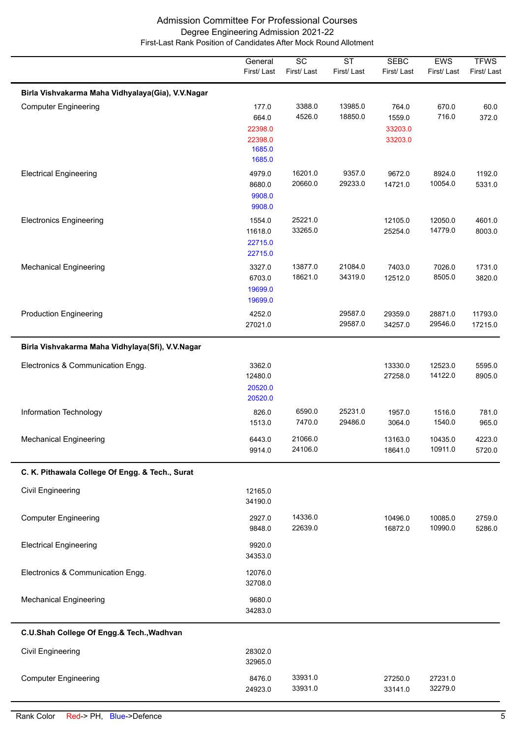|                                                   | General<br>First/Last                                    | $\overline{SC}$<br>First/Last | $\overline{\text{ST}}$<br>First/Last | <b>SEBC</b><br>First/Last             | <b>EWS</b><br>First/Last | <b>TFWS</b><br>First/Last |
|---------------------------------------------------|----------------------------------------------------------|-------------------------------|--------------------------------------|---------------------------------------|--------------------------|---------------------------|
| Birla Vishvakarma Maha Vidhyalaya(Gia), V.V.Nagar |                                                          |                               |                                      |                                       |                          |                           |
| <b>Computer Engineering</b>                       | 177.0<br>664.0<br>22398.0<br>22398.0<br>1685.0<br>1685.0 | 3388.0<br>4526.0              | 13985.0<br>18850.0                   | 764.0<br>1559.0<br>33203.0<br>33203.0 | 670.0<br>716.0           | 60.0<br>372.0             |
| <b>Electrical Engineering</b>                     | 4979.0<br>8680.0<br>9908.0<br>9908.0                     | 16201.0<br>20660.0            | 9357.0<br>29233.0                    | 9672.0<br>14721.0                     | 8924.0<br>10054.0        | 1192.0<br>5331.0          |
| <b>Electronics Engineering</b>                    | 1554.0<br>11618.0<br>22715.0<br>22715.0                  | 25221.0<br>33265.0            |                                      | 12105.0<br>25254.0                    | 12050.0<br>14779.0       | 4601.0<br>8003.0          |
| <b>Mechanical Engineering</b>                     | 3327.0<br>6703.0<br>19699.0<br>19699.0                   | 13877.0<br>18621.0            | 21084.0<br>34319.0                   | 7403.0<br>12512.0                     | 7026.0<br>8505.0         | 1731.0<br>3820.0          |
| <b>Production Engineering</b>                     | 4252.0<br>27021.0                                        |                               | 29587.0<br>29587.0                   | 29359.0<br>34257.0                    | 28871.0<br>29546.0       | 11793.0<br>17215.0        |
| Birla Vishvakarma Maha Vidhylaya(Sfi), V.V.Nagar  |                                                          |                               |                                      |                                       |                          |                           |
| Electronics & Communication Engg.                 | 3362.0<br>12480.0<br>20520.0<br>20520.0                  |                               |                                      | 13330.0<br>27258.0                    | 12523.0<br>14122.0       | 5595.0<br>8905.0          |
| Information Technology                            | 826.0<br>1513.0                                          | 6590.0<br>7470.0              | 25231.0<br>29486.0                   | 1957.0<br>3064.0                      | 1516.0<br>1540.0         | 781.0<br>965.0            |
| <b>Mechanical Engineering</b>                     | 6443.0<br>9914.0                                         | 21066.0<br>24106.0            |                                      | 13163.0<br>18641.0                    | 10435.0<br>10911.0       | 4223.0<br>5720.0          |
| C. K. Pithawala College Of Engg. & Tech., Surat   |                                                          |                               |                                      |                                       |                          |                           |
| <b>Civil Engineering</b>                          | 12165.0<br>34190.0                                       |                               |                                      |                                       |                          |                           |
| <b>Computer Engineering</b>                       | 2927.0<br>9848.0                                         | 14336.0<br>22639.0            |                                      | 10496.0<br>16872.0                    | 10085.0<br>10990.0       | 2759.0<br>5286.0          |
| <b>Electrical Engineering</b>                     | 9920.0<br>34353.0                                        |                               |                                      |                                       |                          |                           |
| Electronics & Communication Engg.                 | 12076.0<br>32708.0                                       |                               |                                      |                                       |                          |                           |
| <b>Mechanical Engineering</b>                     | 9680.0<br>34283.0                                        |                               |                                      |                                       |                          |                           |
| C.U.Shah College Of Engg.& Tech., Wadhvan         |                                                          |                               |                                      |                                       |                          |                           |
| Civil Engineering                                 | 28302.0<br>32965.0                                       |                               |                                      |                                       |                          |                           |
| <b>Computer Engineering</b>                       | 8476.0<br>24923.0                                        | 33931.0<br>33931.0            |                                      | 27250.0<br>33141.0                    | 27231.0<br>32279.0       |                           |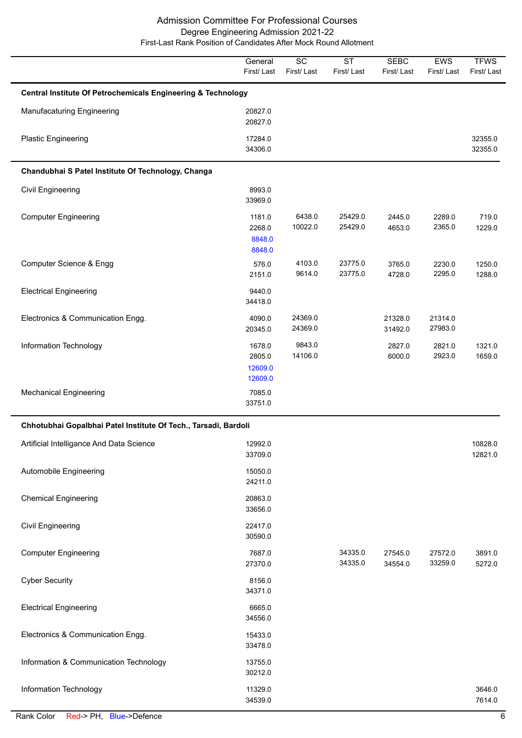|                                                                         | General<br>First/Last                  | SC<br>First/Last   | <b>ST</b><br>First/Last | <b>SEBC</b><br>First/Last | EWS<br>First/Last  | <b>TFWS</b><br>First/Last |  |  |  |
|-------------------------------------------------------------------------|----------------------------------------|--------------------|-------------------------|---------------------------|--------------------|---------------------------|--|--|--|
| <b>Central Institute Of Petrochemicals Engineering &amp; Technology</b> |                                        |                    |                         |                           |                    |                           |  |  |  |
| Manufacaturing Engineering                                              | 20827.0<br>20827.0                     |                    |                         |                           |                    |                           |  |  |  |
| <b>Plastic Engineering</b>                                              | 17284.0<br>34306.0                     |                    |                         |                           |                    | 32355.0<br>32355.0        |  |  |  |
| Chandubhai S Patel Institute Of Technology, Changa                      |                                        |                    |                         |                           |                    |                           |  |  |  |
| Civil Engineering                                                       | 8993.0<br>33969.0                      |                    |                         |                           |                    |                           |  |  |  |
| <b>Computer Engineering</b>                                             | 1181.0<br>2268.0<br>8848.0<br>8848.0   | 6438.0<br>10022.0  | 25429.0<br>25429.0      | 2445.0<br>4653.0          | 2289.0<br>2365.0   | 719.0<br>1229.0           |  |  |  |
| Computer Science & Engg                                                 | 576.0<br>2151.0                        | 4103.0<br>9614.0   | 23775.0<br>23775.0      | 3765.0<br>4728.0          | 2230.0<br>2295.0   | 1250.0<br>1288.0          |  |  |  |
| <b>Electrical Engineering</b>                                           | 9440.0<br>34418.0                      |                    |                         |                           |                    |                           |  |  |  |
| Electronics & Communication Engg.                                       | 4090.0<br>20345.0                      | 24369.0<br>24369.0 |                         | 21328.0<br>31492.0        | 21314.0<br>27983.0 |                           |  |  |  |
| Information Technology                                                  | 1678.0<br>2805.0<br>12609.0<br>12609.0 | 9843.0<br>14106.0  |                         | 2827.0<br>6000.0          | 2821.0<br>2923.0   | 1321.0<br>1659.0          |  |  |  |
| <b>Mechanical Engineering</b>                                           | 7085.0<br>33751.0                      |                    |                         |                           |                    |                           |  |  |  |
| Chhotubhai Gopalbhai Patel Institute Of Tech., Tarsadi, Bardoli         |                                        |                    |                         |                           |                    |                           |  |  |  |
| Artificial Intelligance And Data Science                                | 12992.0<br>33709.0                     |                    |                         |                           |                    | 10828.0<br>12821.0        |  |  |  |
| Automobile Engineering                                                  | 15050.0<br>24211.0                     |                    |                         |                           |                    |                           |  |  |  |
| <b>Chemical Engineering</b>                                             | 20863.0<br>33656.0                     |                    |                         |                           |                    |                           |  |  |  |
| <b>Civil Engineering</b>                                                | 22417.0<br>30590.0                     |                    |                         |                           |                    |                           |  |  |  |
| <b>Computer Engineering</b>                                             | 7687.0<br>27370.0                      |                    | 34335.0<br>34335.0      | 27545.0<br>34554.0        | 27572.0<br>33259.0 | 3891.0<br>5272.0          |  |  |  |
| <b>Cyber Security</b>                                                   | 8156.0<br>34371.0                      |                    |                         |                           |                    |                           |  |  |  |
| <b>Electrical Engineering</b>                                           | 6665.0<br>34556.0                      |                    |                         |                           |                    |                           |  |  |  |
| Electronics & Communication Engg.                                       | 15433.0<br>33478.0                     |                    |                         |                           |                    |                           |  |  |  |
| Information & Communication Technology                                  | 13755.0<br>30212.0                     |                    |                         |                           |                    |                           |  |  |  |
| Information Technology                                                  | 11329.0<br>34539.0                     |                    |                         |                           |                    | 3646.0<br>7614.0          |  |  |  |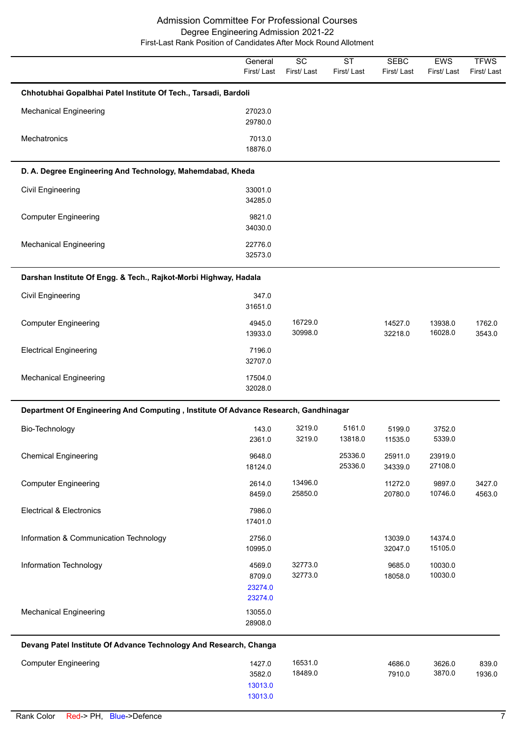|                                                                                     | General<br>First/Last                  | $\overline{SC}$<br>First/Last | $\overline{\text{ST}}$<br>First/Last | <b>SEBC</b><br>First/Last | EWS<br>First/Last  | <b>TFWS</b><br>First/Last |
|-------------------------------------------------------------------------------------|----------------------------------------|-------------------------------|--------------------------------------|---------------------------|--------------------|---------------------------|
| Chhotubhai Gopalbhai Patel Institute Of Tech., Tarsadi, Bardoli                     |                                        |                               |                                      |                           |                    |                           |
| <b>Mechanical Engineering</b>                                                       | 27023.0<br>29780.0                     |                               |                                      |                           |                    |                           |
| Mechatronics                                                                        | 7013.0<br>18876.0                      |                               |                                      |                           |                    |                           |
| D. A. Degree Engineering And Technology, Mahemdabad, Kheda                          |                                        |                               |                                      |                           |                    |                           |
| Civil Engineering                                                                   | 33001.0<br>34285.0                     |                               |                                      |                           |                    |                           |
| <b>Computer Engineering</b>                                                         | 9821.0<br>34030.0                      |                               |                                      |                           |                    |                           |
| <b>Mechanical Engineering</b>                                                       | 22776.0<br>32573.0                     |                               |                                      |                           |                    |                           |
| Darshan Institute Of Engg. & Tech., Rajkot-Morbi Highway, Hadala                    |                                        |                               |                                      |                           |                    |                           |
| <b>Civil Engineering</b>                                                            | 347.0<br>31651.0                       |                               |                                      |                           |                    |                           |
| <b>Computer Engineering</b>                                                         | 4945.0<br>13933.0                      | 16729.0<br>30998.0            |                                      | 14527.0<br>32218.0        | 13938.0<br>16028.0 | 1762.0<br>3543.0          |
| <b>Electrical Engineering</b>                                                       | 7196.0<br>32707.0                      |                               |                                      |                           |                    |                           |
| <b>Mechanical Engineering</b>                                                       | 17504.0<br>32028.0                     |                               |                                      |                           |                    |                           |
| Department Of Engineering And Computing, Institute Of Advance Research, Gandhinagar |                                        |                               |                                      |                           |                    |                           |
| Bio-Technology                                                                      | 143.0<br>2361.0                        | 3219.0<br>3219.0              | 5161.0<br>13818.0                    | 5199.0<br>11535.0         | 3752.0<br>5339.0   |                           |
| <b>Chemical Engineering</b>                                                         | 9648.0<br>18124.0                      |                               | 25336.0<br>25336.0                   | 25911.0<br>34339.0        | 23919.0<br>27108.0 |                           |
| <b>Computer Engineering</b>                                                         | 2614.0<br>8459.0                       | 13496.0<br>25850.0            |                                      | 11272.0<br>20780.0        | 9897.0<br>10746.0  | 3427.0<br>4563.0          |
| <b>Electrical &amp; Electronics</b>                                                 | 7986.0<br>17401.0                      |                               |                                      |                           |                    |                           |
| Information & Communication Technology                                              | 2756.0<br>10995.0                      |                               |                                      | 13039.0<br>32047.0        | 14374.0<br>15105.0 |                           |
| Information Technology                                                              | 4569.0<br>8709.0<br>23274.0<br>23274.0 | 32773.0<br>32773.0            |                                      | 9685.0<br>18058.0         | 10030.0<br>10030.0 |                           |
| <b>Mechanical Engineering</b>                                                       | 13055.0<br>28908.0                     |                               |                                      |                           |                    |                           |
| Devang Patel Institute Of Advance Technology And Research, Changa                   |                                        |                               |                                      |                           |                    |                           |
| <b>Computer Engineering</b>                                                         | 1427.0<br>3582.0<br>13013.0<br>13013.0 | 16531.0<br>18489.0            |                                      | 4686.0<br>7910.0          | 3626.0<br>3870.0   | 839.0<br>1936.0           |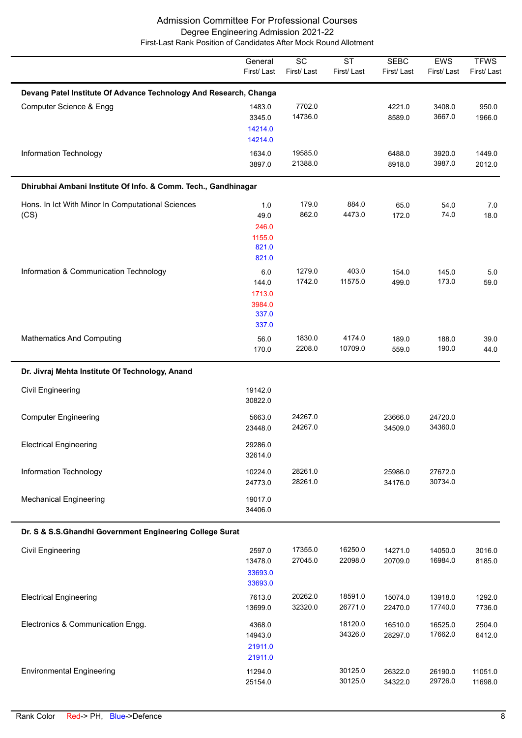|                                                                   | General<br>First/Last                              | $\overline{SC}$<br>First/Last | $\overline{\text{ST}}$<br>First/Last | <b>SEBC</b><br>First/Last | EWS<br>First/Last  | <b>TFWS</b><br>First/Last |  |  |  |  |
|-------------------------------------------------------------------|----------------------------------------------------|-------------------------------|--------------------------------------|---------------------------|--------------------|---------------------------|--|--|--|--|
| Devang Patel Institute Of Advance Technology And Research, Changa |                                                    |                               |                                      |                           |                    |                           |  |  |  |  |
| Computer Science & Engg                                           | 1483.0<br>3345.0<br>14214.0<br>14214.0             | 7702.0<br>14736.0             |                                      | 4221.0<br>8589.0          | 3408.0<br>3667.0   | 950.0<br>1966.0           |  |  |  |  |
| Information Technology                                            | 1634.0<br>3897.0                                   | 19585.0<br>21388.0            |                                      | 6488.0<br>8918.0          | 3920.0<br>3987.0   | 1449.0<br>2012.0          |  |  |  |  |
| Dhirubhai Ambani Institute Of Info. & Comm. Tech., Gandhinagar    |                                                    |                               |                                      |                           |                    |                           |  |  |  |  |
| Hons. In Ict With Minor In Computational Sciences<br>(CS)         | $1.0$<br>49.0<br>246.0<br>1155.0<br>821.0<br>821.0 | 179.0<br>862.0                | 884.0<br>4473.0                      | 65.0<br>172.0             | 54.0<br>74.0       | 7.0<br>18.0               |  |  |  |  |
| Information & Communication Technology                            | 6.0<br>144.0<br>1713.0<br>3984.0<br>337.0<br>337.0 | 1279.0<br>1742.0              | 403.0<br>11575.0                     | 154.0<br>499.0            | 145.0<br>173.0     | 5.0<br>59.0               |  |  |  |  |
| <b>Mathematics And Computing</b>                                  | 56.0<br>170.0                                      | 1830.0<br>2208.0              | 4174.0<br>10709.0                    | 189.0<br>559.0            | 188.0<br>190.0     | 39.0<br>44.0              |  |  |  |  |
| Dr. Jivraj Mehta Institute Of Technology, Anand                   |                                                    |                               |                                      |                           |                    |                           |  |  |  |  |
| <b>Civil Engineering</b>                                          | 19142.0<br>30822.0                                 |                               |                                      |                           |                    |                           |  |  |  |  |
| <b>Computer Engineering</b>                                       | 5663.0<br>23448.0                                  | 24267.0<br>24267.0            |                                      | 23666.0<br>34509.0        | 24720.0<br>34360.0 |                           |  |  |  |  |
| <b>Electrical Engineering</b>                                     | 29286.0<br>32614.0                                 |                               |                                      |                           |                    |                           |  |  |  |  |
| Information Technology                                            | 10224.0<br>24773.0                                 | 28261.0<br>28261.0            |                                      | 25986.0<br>34176.0        | 27672.0<br>30734.0 |                           |  |  |  |  |
| <b>Mechanical Engineering</b>                                     | 19017.0<br>34406.0                                 |                               |                                      |                           |                    |                           |  |  |  |  |
| Dr. S & S.S.Ghandhi Government Engineering College Surat          |                                                    |                               |                                      |                           |                    |                           |  |  |  |  |
| <b>Civil Engineering</b>                                          | 2597.0<br>13478.0<br>33693.0<br>33693.0            | 17355.0<br>27045.0            | 16250.0<br>22098.0                   | 14271.0<br>20709.0        | 14050.0<br>16984.0 | 3016.0<br>8185.0          |  |  |  |  |
| <b>Electrical Engineering</b>                                     | 7613.0<br>13699.0                                  | 20262.0<br>32320.0            | 18591.0<br>26771.0                   | 15074.0<br>22470.0        | 13918.0<br>17740.0 | 1292.0<br>7736.0          |  |  |  |  |
| Electronics & Communication Engg.                                 | 4368.0<br>14943.0<br>21911.0<br>21911.0            |                               | 18120.0<br>34326.0                   | 16510.0<br>28297.0        | 16525.0<br>17662.0 | 2504.0<br>6412.0          |  |  |  |  |
| <b>Environmental Engineering</b>                                  | 11294.0<br>25154.0                                 |                               | 30125.0<br>30125.0                   | 26322.0<br>34322.0        | 26190.0<br>29726.0 | 11051.0<br>11698.0        |  |  |  |  |

 $\overline{\phantom{a}}$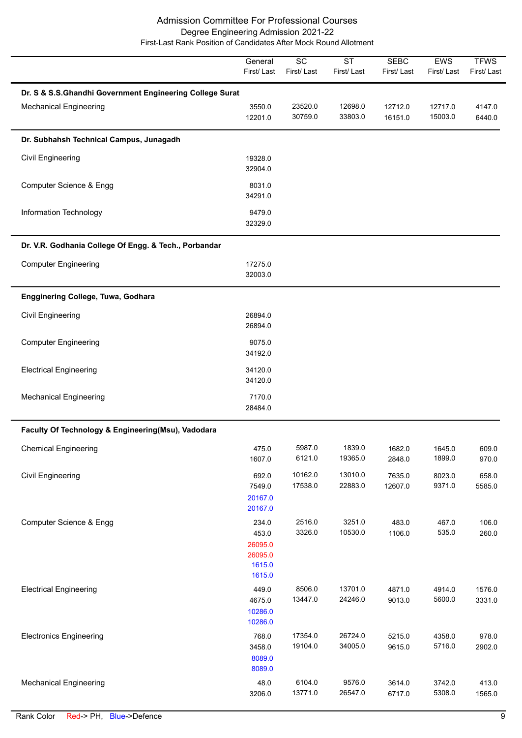|                                                                                           | General<br>First/Last                                    | $\overline{SC}$<br>First/Last | $\overline{\text{ST}}$<br>First/Last | <b>SEBC</b><br>First/Last | <b>EWS</b><br>First/Last | <b>TFWS</b><br>First/Last |
|-------------------------------------------------------------------------------------------|----------------------------------------------------------|-------------------------------|--------------------------------------|---------------------------|--------------------------|---------------------------|
| Dr. S & S.S.Ghandhi Government Engineering College Surat<br><b>Mechanical Engineering</b> | 3550.0<br>12201.0                                        | 23520.0<br>30759.0            | 12698.0<br>33803.0                   | 12712.0<br>16151.0        | 12717.0<br>15003.0       | 4147.0<br>6440.0          |
| Dr. Subhahsh Technical Campus, Junagadh                                                   |                                                          |                               |                                      |                           |                          |                           |
| <b>Civil Engineering</b>                                                                  | 19328.0<br>32904.0                                       |                               |                                      |                           |                          |                           |
| Computer Science & Engg                                                                   | 8031.0<br>34291.0                                        |                               |                                      |                           |                          |                           |
| Information Technology                                                                    | 9479.0<br>32329.0                                        |                               |                                      |                           |                          |                           |
| Dr. V.R. Godhania College Of Engg. & Tech., Porbandar                                     |                                                          |                               |                                      |                           |                          |                           |
| <b>Computer Engineering</b>                                                               | 17275.0<br>32003.0                                       |                               |                                      |                           |                          |                           |
| Engginering College, Tuwa, Godhara                                                        |                                                          |                               |                                      |                           |                          |                           |
| <b>Civil Engineering</b>                                                                  | 26894.0<br>26894.0                                       |                               |                                      |                           |                          |                           |
| <b>Computer Engineering</b>                                                               | 9075.0<br>34192.0                                        |                               |                                      |                           |                          |                           |
| <b>Electrical Engineering</b>                                                             | 34120.0<br>34120.0                                       |                               |                                      |                           |                          |                           |
| <b>Mechanical Engineering</b>                                                             | 7170.0<br>28484.0                                        |                               |                                      |                           |                          |                           |
| Faculty Of Technology & Engineering(Msu), Vadodara                                        |                                                          |                               |                                      |                           |                          |                           |
| <b>Chemical Engineering</b>                                                               | 475.0<br>1607.0                                          | 5987.0<br>6121.0              | 1839.0<br>19365.0                    | 1682.0<br>2848.0          | 1645.0<br>1899.0         | 609.0<br>970.0            |
| Civil Engineering                                                                         | 692.0<br>7549.0<br>20167.0<br>20167.0                    | 10162.0<br>17538.0            | 13010.0<br>22883.0                   | 7635.0<br>12607.0         | 8023.0<br>9371.0         | 658.0<br>5585.0           |
| Computer Science & Engg                                                                   | 234.0<br>453.0<br>26095.0<br>26095.0<br>1615.0<br>1615.0 | 2516.0<br>3326.0              | 3251.0<br>10530.0                    | 483.0<br>1106.0           | 467.0<br>535.0           | 106.0<br>260.0            |
| <b>Electrical Engineering</b>                                                             | 449.0<br>4675.0<br>10286.0<br>10286.0                    | 8506.0<br>13447.0             | 13701.0<br>24246.0                   | 4871.0<br>9013.0          | 4914.0<br>5600.0         | 1576.0<br>3331.0          |
| <b>Electronics Engineering</b>                                                            | 768.0<br>3458.0<br>8089.0<br>8089.0                      | 17354.0<br>19104.0            | 26724.0<br>34005.0                   | 5215.0<br>9615.0          | 4358.0<br>5716.0         | 978.0<br>2902.0           |
| <b>Mechanical Engineering</b>                                                             | 48.0<br>3206.0                                           | 6104.0<br>13771.0             | 9576.0<br>26547.0                    | 3614.0<br>6717.0          | 3742.0<br>5308.0         | 413.0<br>1565.0           |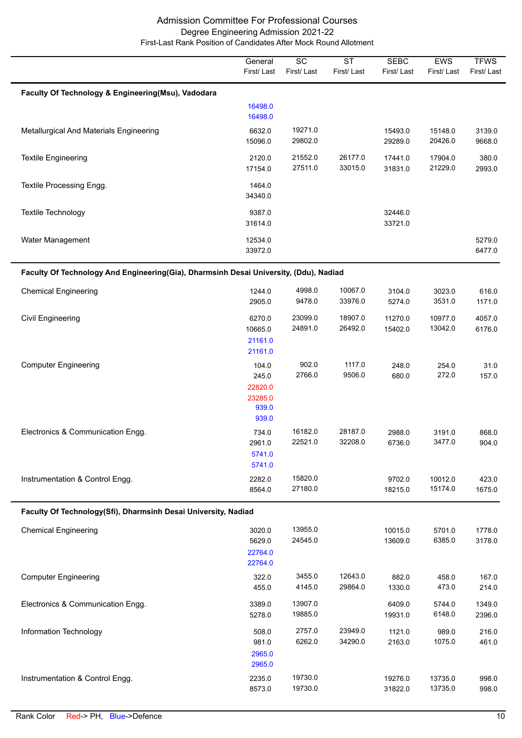|                                                                                       | General<br>First/Last                                  | $\overline{SC}$<br>First/Last | $\overline{\text{ST}}$<br>First/Last | <b>SEBC</b><br>First/Last | EWS<br>First/Last  | <b>TFWS</b><br>First/Last |
|---------------------------------------------------------------------------------------|--------------------------------------------------------|-------------------------------|--------------------------------------|---------------------------|--------------------|---------------------------|
| Faculty Of Technology & Engineering(Msu), Vadodara                                    |                                                        |                               |                                      |                           |                    |                           |
|                                                                                       | 16498.0<br>16498.0                                     |                               |                                      |                           |                    |                           |
| Metallurgical And Materials Engineering                                               | 6632.0<br>15096.0                                      | 19271.0<br>29802.0            |                                      | 15493.0<br>29289.0        | 15148.0<br>20426.0 | 3139.0<br>9668.0          |
| <b>Textile Engineering</b>                                                            | 2120.0<br>17154.0                                      | 21552.0<br>27511.0            | 26177.0<br>33015.0                   | 17441.0<br>31831.0        | 17904.0<br>21229.0 | 380.0<br>2993.0           |
| Textile Processing Engg.                                                              | 1464.0<br>34340.0                                      |                               |                                      |                           |                    |                           |
| Textile Technology                                                                    | 9387.0<br>31614.0                                      |                               |                                      | 32446.0<br>33721.0        |                    |                           |
| Water Management                                                                      | 12534.0<br>33972.0                                     |                               |                                      |                           |                    | 5279.0<br>6477.0          |
| Faculty Of Technology And Engineering(Gia), Dharmsinh Desai University, (Ddu), Nadiad |                                                        |                               |                                      |                           |                    |                           |
| <b>Chemical Engineering</b>                                                           | 1244.0<br>2905.0                                       | 4998.0<br>9478.0              | 10067.0<br>33976.0                   | 3104.0<br>5274.0          | 3023.0<br>3531.0   | 616.0<br>1171.0           |
| <b>Civil Engineering</b>                                                              | 6270.0<br>10665.0<br>21161.0<br>21161.0                | 23099.0<br>24891.0            | 18907.0<br>26492.0                   | 11270.0<br>15402.0        | 10977.0<br>13042.0 | 4057.0<br>6176.0          |
| <b>Computer Engineering</b>                                                           | 104.0<br>245.0<br>22820.0<br>23285.0<br>939.0<br>939.0 | 902.0<br>2766.0               | 1117.0<br>9506.0                     | 248.0<br>680.0            | 254.0<br>272.0     | 31.0<br>157.0             |
| Electronics & Communication Engg.                                                     | 734.0<br>2961.0<br>5741.0<br>5741.0                    | 16182.0<br>22521.0            | 28187.0<br>32208.0                   | 2988.0<br>6736.0          | 3191.0<br>3477.0   | 868.0<br>904.0            |
| Instrumentation & Control Engg.                                                       | 2282.0<br>8564.0                                       | 15820.0<br>27180.0            |                                      | 9702.0<br>18215.0         | 10012.0<br>15174.0 | 423.0<br>1675.0           |
| Faculty Of Technology(Sfi), Dharmsinh Desai University, Nadiad                        |                                                        |                               |                                      |                           |                    |                           |
| <b>Chemical Engineering</b>                                                           | 3020.0<br>5629.0<br>22764.0<br>22764.0                 | 13955.0<br>24545.0            |                                      | 10015.0<br>13609.0        | 5701.0<br>6385.0   | 1778.0<br>3178.0          |
| <b>Computer Engineering</b>                                                           | 322.0<br>455.0                                         | 3455.0<br>4145.0              | 12643.0<br>29864.0                   | 882.0<br>1330.0           | 458.0<br>473.0     | 167.0<br>214.0            |
| Electronics & Communication Engg.                                                     | 3389.0<br>5278.0                                       | 13907.0<br>19885.0            |                                      | 6409.0<br>19931.0         | 5744.0<br>6148.0   | 1349.0<br>2396.0          |
| Information Technology                                                                | 508.0<br>981.0<br>2965.0<br>2965.0                     | 2757.0<br>6262.0              | 23949.0<br>34290.0                   | 1121.0<br>2163.0          | 989.0<br>1075.0    | 216.0<br>461.0            |
| Instrumentation & Control Engg.                                                       | 2235.0<br>8573.0                                       | 19730.0<br>19730.0            |                                      | 19276.0<br>31822.0        | 13735.0<br>13735.0 | 998.0<br>998.0            |

 $\overline{a}$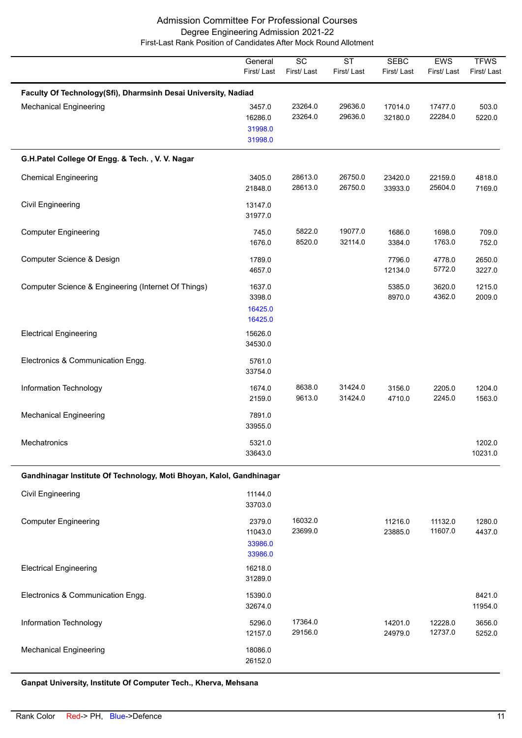|                                                                      | General<br>First/Last                   | $\overline{SC}$<br>First/Last | $\overline{\text{ST}}$<br>First/Last | <b>SEBC</b><br>First/Last | <b>EWS</b><br>First/Last | <b>TFWS</b><br>First/Last |  |  |  |
|----------------------------------------------------------------------|-----------------------------------------|-------------------------------|--------------------------------------|---------------------------|--------------------------|---------------------------|--|--|--|
| Faculty Of Technology(Sfi), Dharmsinh Desai University, Nadiad       |                                         |                               |                                      |                           |                          |                           |  |  |  |
| <b>Mechanical Engineering</b>                                        | 3457.0<br>16286.0<br>31998.0<br>31998.0 | 23264.0<br>23264.0            | 29636.0<br>29636.0                   | 17014.0<br>32180.0        | 17477.0<br>22284.0       | 503.0<br>5220.0           |  |  |  |
| G.H.Patel College Of Engg. & Tech., V. V. Nagar                      |                                         |                               |                                      |                           |                          |                           |  |  |  |
| <b>Chemical Engineering</b>                                          | 3405.0<br>21848.0                       | 28613.0<br>28613.0            | 26750.0<br>26750.0                   | 23420.0<br>33933.0        | 22159.0<br>25604.0       | 4818.0<br>7169.0          |  |  |  |
| <b>Civil Engineering</b>                                             | 13147.0<br>31977.0                      |                               |                                      |                           |                          |                           |  |  |  |
| <b>Computer Engineering</b>                                          | 745.0<br>1676.0                         | 5822.0<br>8520.0              | 19077.0<br>32114.0                   | 1686.0<br>3384.0          | 1698.0<br>1763.0         | 709.0<br>752.0            |  |  |  |
| Computer Science & Design                                            | 1789.0<br>4657.0                        |                               |                                      | 7796.0<br>12134.0         | 4778.0<br>5772.0         | 2650.0<br>3227.0          |  |  |  |
| Computer Science & Engineering (Internet Of Things)                  | 1637.0<br>3398.0<br>16425.0<br>16425.0  |                               |                                      | 5385.0<br>8970.0          | 3620.0<br>4362.0         | 1215.0<br>2009.0          |  |  |  |
| <b>Electrical Engineering</b>                                        | 15626.0<br>34530.0                      |                               |                                      |                           |                          |                           |  |  |  |
| Electronics & Communication Engg.                                    | 5761.0<br>33754.0                       |                               |                                      |                           |                          |                           |  |  |  |
| Information Technology                                               | 1674.0<br>2159.0                        | 8638.0<br>9613.0              | 31424.0<br>31424.0                   | 3156.0<br>4710.0          | 2205.0<br>2245.0         | 1204.0<br>1563.0          |  |  |  |
| <b>Mechanical Engineering</b>                                        | 7891.0<br>33955.0                       |                               |                                      |                           |                          |                           |  |  |  |
| Mechatronics                                                         | 5321.0<br>33643.0                       |                               |                                      |                           |                          | 1202.0<br>10231.0         |  |  |  |
| Gandhinagar Institute Of Technology, Moti Bhoyan, Kalol, Gandhinagar |                                         |                               |                                      |                           |                          |                           |  |  |  |
| <b>Civil Engineering</b>                                             | 11144.0<br>33703.0                      |                               |                                      |                           |                          |                           |  |  |  |
| <b>Computer Engineering</b>                                          | 2379.0<br>11043.0<br>33986.0<br>33986.0 | 16032.0<br>23699.0            |                                      | 11216.0<br>23885.0        | 11132.0<br>11607.0       | 1280.0<br>4437.0          |  |  |  |
| <b>Electrical Engineering</b>                                        | 16218.0<br>31289.0                      |                               |                                      |                           |                          |                           |  |  |  |
| Electronics & Communication Engg.                                    | 15390.0<br>32674.0                      |                               |                                      |                           |                          | 8421.0<br>11954.0         |  |  |  |
| Information Technology                                               | 5296.0<br>12157.0                       | 17364.0<br>29156.0            |                                      | 14201.0<br>24979.0        | 12228.0<br>12737.0       | 3656.0<br>5252.0          |  |  |  |
| <b>Mechanical Engineering</b>                                        | 18086.0<br>26152.0                      |                               |                                      |                           |                          |                           |  |  |  |

**Ganpat University, Institute Of Computer Tech., Kherva, Mehsana**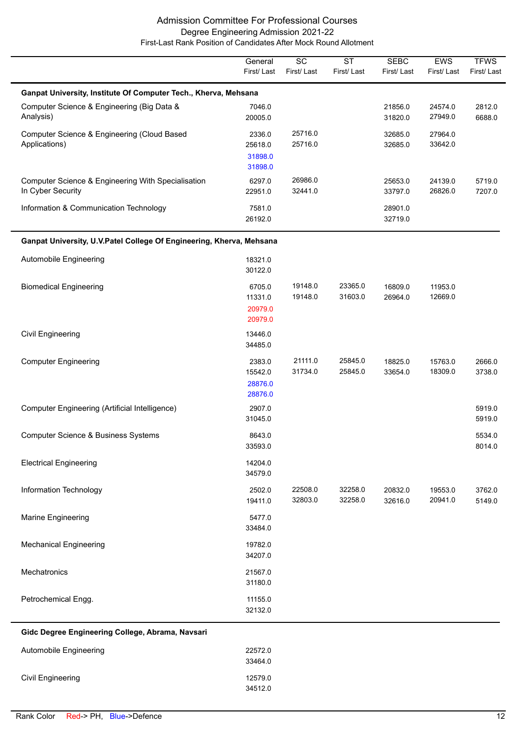|                                                                         | General<br>First/Last                   | $\overline{SC}$<br>First/Last | $\overline{\text{ST}}$<br>First/Last | <b>SEBC</b><br>First/Last | EWS<br>First/Last  | <b>TFWS</b><br>First/Last |  |  |  |
|-------------------------------------------------------------------------|-----------------------------------------|-------------------------------|--------------------------------------|---------------------------|--------------------|---------------------------|--|--|--|
| Ganpat University, Institute Of Computer Tech., Kherva, Mehsana         |                                         |                               |                                      |                           |                    |                           |  |  |  |
| Computer Science & Engineering (Big Data &<br>Analysis)                 | 7046.0<br>20005.0                       |                               |                                      | 21856.0<br>31820.0        | 24574.0<br>27949.0 | 2812.0<br>6688.0          |  |  |  |
| Computer Science & Engineering (Cloud Based<br>Applications)            | 2336.0<br>25618.0<br>31898.0<br>31898.0 | 25716.0<br>25716.0            |                                      | 32685.0<br>32685.0        | 27964.0<br>33642.0 |                           |  |  |  |
| Computer Science & Engineering With Specialisation<br>In Cyber Security | 6297.0<br>22951.0                       | 26986.0<br>32441.0            |                                      | 25653.0<br>33797.0        | 24139.0<br>26826.0 | 5719.0<br>7207.0          |  |  |  |
| Information & Communication Technology                                  | 7581.0<br>26192.0                       |                               |                                      | 28901.0<br>32719.0        |                    |                           |  |  |  |
| Ganpat University, U.V.Patel College Of Engineering, Kherva, Mehsana    |                                         |                               |                                      |                           |                    |                           |  |  |  |
| Automobile Engineering                                                  | 18321.0<br>30122.0                      |                               |                                      |                           |                    |                           |  |  |  |
| <b>Biomedical Engineering</b>                                           | 6705.0<br>11331.0<br>20979.0<br>20979.0 | 19148.0<br>19148.0            | 23365.0<br>31603.0                   | 16809.0<br>26964.0        | 11953.0<br>12669.0 |                           |  |  |  |
| Civil Engineering                                                       | 13446.0<br>34485.0                      |                               |                                      |                           |                    |                           |  |  |  |
| <b>Computer Engineering</b>                                             | 2383.0<br>15542.0<br>28876.0<br>28876.0 | 21111.0<br>31734.0            | 25845.0<br>25845.0                   | 18825.0<br>33654.0        | 15763.0<br>18309.0 | 2666.0<br>3738.0          |  |  |  |
| Computer Engineering (Artificial Intelligence)                          | 2907.0<br>31045.0                       |                               |                                      |                           |                    | 5919.0<br>5919.0          |  |  |  |
| <b>Computer Science &amp; Business Systems</b>                          | 8643.0<br>33593.0                       |                               |                                      |                           |                    | 5534.0<br>8014.0          |  |  |  |
| <b>Electrical Engineering</b>                                           | 14204.0<br>34579.0                      |                               |                                      |                           |                    |                           |  |  |  |
| Information Technology                                                  | 2502.0<br>19411.0                       | 22508.0<br>32803.0            | 32258.0<br>32258.0                   | 20832.0<br>32616.0        | 19553.0<br>20941.0 | 3762.0<br>5149.0          |  |  |  |
| Marine Engineering                                                      | 5477.0<br>33484.0                       |                               |                                      |                           |                    |                           |  |  |  |
| <b>Mechanical Engineering</b>                                           | 19782.0<br>34207.0                      |                               |                                      |                           |                    |                           |  |  |  |
| Mechatronics                                                            | 21567.0<br>31180.0                      |                               |                                      |                           |                    |                           |  |  |  |
| Petrochemical Engg.                                                     | 11155.0<br>32132.0                      |                               |                                      |                           |                    |                           |  |  |  |
| Gidc Degree Engineering College, Abrama, Navsari                        |                                         |                               |                                      |                           |                    |                           |  |  |  |
| Automobile Engineering                                                  | 22572.0<br>33464.0                      |                               |                                      |                           |                    |                           |  |  |  |
| Civil Engineering                                                       | 12579.0<br>34512.0                      |                               |                                      |                           |                    |                           |  |  |  |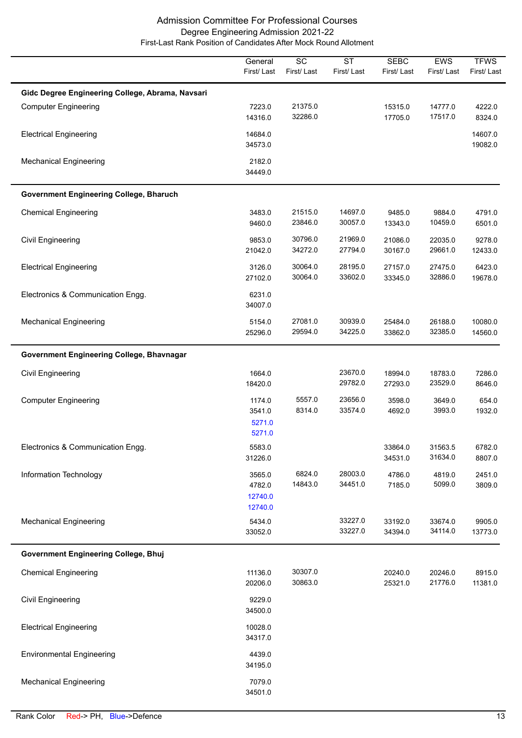|                                                  | General<br>First/Last                  | $\overline{SC}$<br>First/Last | $\overline{\text{ST}}$<br>First/Last | <b>SEBC</b><br>First/Last | <b>EWS</b><br>First/Last | <b>TFWS</b><br>First/Last |
|--------------------------------------------------|----------------------------------------|-------------------------------|--------------------------------------|---------------------------|--------------------------|---------------------------|
| Gidc Degree Engineering College, Abrama, Navsari |                                        |                               |                                      |                           |                          |                           |
| <b>Computer Engineering</b>                      | 7223.0<br>14316.0                      | 21375.0<br>32286.0            |                                      | 15315.0<br>17705.0        | 14777.0<br>17517.0       | 4222.0<br>8324.0          |
| <b>Electrical Engineering</b>                    | 14684.0<br>34573.0                     |                               |                                      |                           |                          | 14607.0<br>19082.0        |
| <b>Mechanical Engineering</b>                    | 2182.0<br>34449.0                      |                               |                                      |                           |                          |                           |
| <b>Government Engineering College, Bharuch</b>   |                                        |                               |                                      |                           |                          |                           |
| <b>Chemical Engineering</b>                      | 3483.0<br>9460.0                       | 21515.0<br>23846.0            | 14697.0<br>30057.0                   | 9485.0<br>13343.0         | 9884.0<br>10459.0        | 4791.0<br>6501.0          |
| Civil Engineering                                | 9853.0<br>21042.0                      | 30796.0<br>34272.0            | 21969.0<br>27794.0                   | 21086.0<br>30167.0        | 22035.0<br>29661.0       | 9278.0<br>12433.0         |
| <b>Electrical Engineering</b>                    | 3126.0<br>27102.0                      | 30064.0<br>30064.0            | 28195.0<br>33602.0                   | 27157.0<br>33345.0        | 27475.0<br>32886.0       | 6423.0<br>19678.0         |
| Electronics & Communication Engg.                | 6231.0<br>34007.0                      |                               |                                      |                           |                          |                           |
| <b>Mechanical Engineering</b>                    | 5154.0<br>25296.0                      | 27081.0<br>29594.0            | 30939.0<br>34225.0                   | 25484.0<br>33862.0        | 26188.0<br>32385.0       | 10080.0<br>14560.0        |
| Government Engineering College, Bhavnagar        |                                        |                               |                                      |                           |                          |                           |
| <b>Civil Engineering</b>                         | 1664.0<br>18420.0                      |                               | 23670.0<br>29782.0                   | 18994.0<br>27293.0        | 18783.0<br>23529.0       | 7286.0<br>8646.0          |
| <b>Computer Engineering</b>                      | 1174.0<br>3541.0<br>5271.0<br>5271.0   | 5557.0<br>8314.0              | 23656.0<br>33574.0                   | 3598.0<br>4692.0          | 3649.0<br>3993.0         | 654.0<br>1932.0           |
| Electronics & Communication Engg.                | 5583.0<br>31226.0                      |                               |                                      | 33864.0<br>34531.0        | 31563.5<br>31634.0       | 6782.0<br>8807.0          |
| Information Technology                           | 3565.0<br>4782.0<br>12740.0<br>12740.0 | 6824.0<br>14843.0             | 28003.0<br>34451.0                   | 4786.0<br>7185.0          | 4819.0<br>5099.0         | 2451.0<br>3809.0          |
| <b>Mechanical Engineering</b>                    | 5434.0<br>33052.0                      |                               | 33227.0<br>33227.0                   | 33192.0<br>34394.0        | 33674.0<br>34114.0       | 9905.0<br>13773.0         |
| <b>Government Engineering College, Bhuj</b>      |                                        |                               |                                      |                           |                          |                           |
| <b>Chemical Engineering</b>                      | 11136.0<br>20206.0                     | 30307.0<br>30863.0            |                                      | 20240.0<br>25321.0        | 20246.0<br>21776.0       | 8915.0<br>11381.0         |
| <b>Civil Engineering</b>                         | 9229.0<br>34500.0                      |                               |                                      |                           |                          |                           |
| <b>Electrical Engineering</b>                    | 10028.0<br>34317.0                     |                               |                                      |                           |                          |                           |
| <b>Environmental Engineering</b>                 | 4439.0<br>34195.0                      |                               |                                      |                           |                          |                           |
| <b>Mechanical Engineering</b>                    | 7079.0<br>34501.0                      |                               |                                      |                           |                          |                           |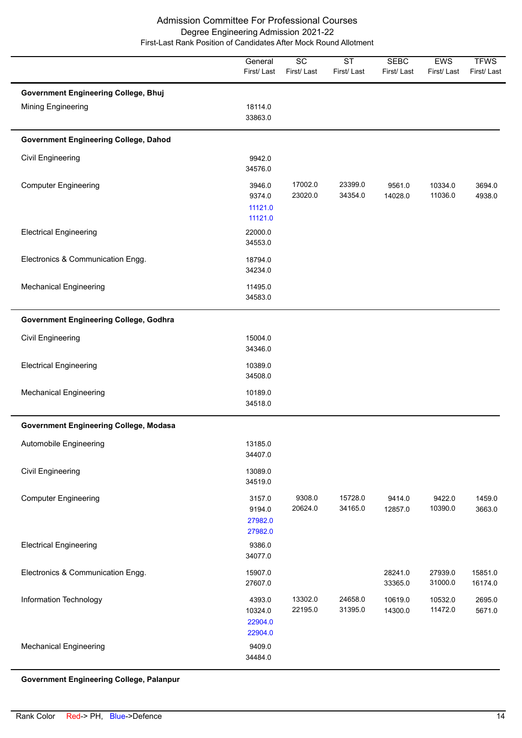|                                                                          | General<br>First/Last                   | $\overline{SC}$<br>First/Last | $\overline{\text{ST}}$<br>First/Last | <b>SEBC</b><br>First/Last | <b>EWS</b><br>First/Last | <b>TFWS</b><br>First/Last |
|--------------------------------------------------------------------------|-----------------------------------------|-------------------------------|--------------------------------------|---------------------------|--------------------------|---------------------------|
| <b>Government Engineering College, Bhuj</b><br><b>Mining Engineering</b> | 18114.0<br>33863.0                      |                               |                                      |                           |                          |                           |
| <b>Government Engineering College, Dahod</b>                             |                                         |                               |                                      |                           |                          |                           |
| Civil Engineering                                                        | 9942.0<br>34576.0                       |                               |                                      |                           |                          |                           |
| <b>Computer Engineering</b>                                              | 3946.0<br>9374.0<br>11121.0<br>11121.0  | 17002.0<br>23020.0            | 23399.0<br>34354.0                   | 9561.0<br>14028.0         | 10334.0<br>11036.0       | 3694.0<br>4938.0          |
| <b>Electrical Engineering</b>                                            | 22000.0<br>34553.0                      |                               |                                      |                           |                          |                           |
| Electronics & Communication Engg.                                        | 18794.0<br>34234.0                      |                               |                                      |                           |                          |                           |
| <b>Mechanical Engineering</b>                                            | 11495.0<br>34583.0                      |                               |                                      |                           |                          |                           |
| <b>Government Engineering College, Godhra</b>                            |                                         |                               |                                      |                           |                          |                           |
| Civil Engineering                                                        | 15004.0<br>34346.0                      |                               |                                      |                           |                          |                           |
| <b>Electrical Engineering</b>                                            | 10389.0<br>34508.0                      |                               |                                      |                           |                          |                           |
| <b>Mechanical Engineering</b>                                            | 10189.0<br>34518.0                      |                               |                                      |                           |                          |                           |
| <b>Government Engineering College, Modasa</b>                            |                                         |                               |                                      |                           |                          |                           |
| Automobile Engineering                                                   | 13185.0<br>34407.0                      |                               |                                      |                           |                          |                           |
| <b>Civil Engineering</b>                                                 | 13089.0<br>34519.0                      |                               |                                      |                           |                          |                           |
| <b>Computer Engineering</b>                                              | 3157.0<br>9194.0<br>27982.0<br>27982.0  | 9308.0<br>20624.0             | 15728.0<br>34165.0                   | 9414.0<br>12857.0         | 9422.0<br>10390.0        | 1459.0<br>3663.0          |
| <b>Electrical Engineering</b>                                            | 9386.0<br>34077.0                       |                               |                                      |                           |                          |                           |
| Electronics & Communication Engg.                                        | 15907.0<br>27607.0                      |                               |                                      | 28241.0<br>33365.0        | 27939.0<br>31000.0       | 15851.0<br>16174.0        |
| Information Technology                                                   | 4393.0<br>10324.0<br>22904.0<br>22904.0 | 13302.0<br>22195.0            | 24658.0<br>31395.0                   | 10619.0<br>14300.0        | 10532.0<br>11472.0       | 2695.0<br>5671.0          |
| <b>Mechanical Engineering</b>                                            | 9409.0<br>34484.0                       |                               |                                      |                           |                          |                           |

**Government Engineering College, Palanpur**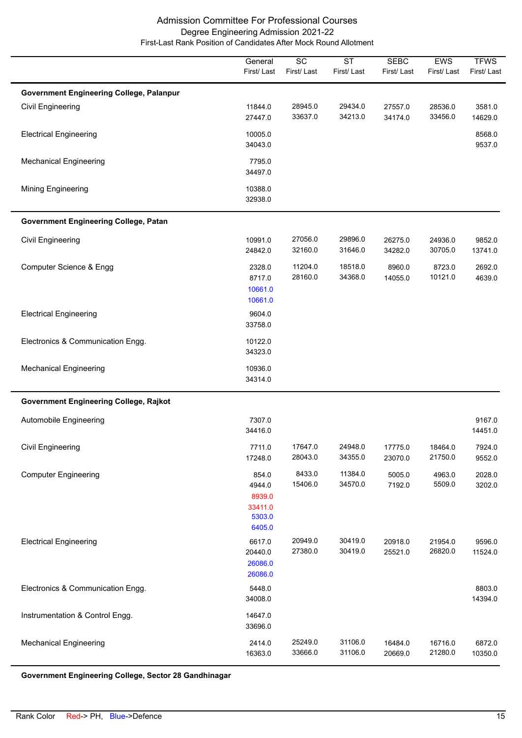|                                                                      | General<br>First/Last                                    | $\overline{SC}$<br>First/Last | $\overline{\text{ST}}$<br>First/Last | <b>SEBC</b><br>First/Last | EWS<br>First/Last  | <b>TFWS</b><br>First/Last |
|----------------------------------------------------------------------|----------------------------------------------------------|-------------------------------|--------------------------------------|---------------------------|--------------------|---------------------------|
|                                                                      |                                                          |                               |                                      |                           |                    |                           |
| <b>Government Engineering College, Palanpur</b><br>Civil Engineering | 11844.0                                                  | 28945.0                       | 29434.0                              | 27557.0                   | 28536.0            | 3581.0                    |
|                                                                      | 27447.0                                                  | 33637.0                       | 34213.0                              | 34174.0                   | 33456.0            | 14629.0                   |
| <b>Electrical Engineering</b>                                        | 10005.0<br>34043.0                                       |                               |                                      |                           |                    | 8568.0<br>9537.0          |
| <b>Mechanical Engineering</b>                                        | 7795.0<br>34497.0                                        |                               |                                      |                           |                    |                           |
| Mining Engineering                                                   | 10388.0<br>32938.0                                       |                               |                                      |                           |                    |                           |
| <b>Government Engineering College, Patan</b>                         |                                                          |                               |                                      |                           |                    |                           |
| <b>Civil Engineering</b>                                             | 10991.0<br>24842.0                                       | 27056.0<br>32160.0            | 29896.0<br>31646.0                   | 26275.0<br>34282.0        | 24936.0<br>30705.0 | 9852.0<br>13741.0         |
| Computer Science & Engg                                              | 2328.0<br>8717.0<br>10661.0<br>10661.0                   | 11204.0<br>28160.0            | 18518.0<br>34368.0                   | 8960.0<br>14055.0         | 8723.0<br>10121.0  | 2692.0<br>4639.0          |
| <b>Electrical Engineering</b>                                        | 9604.0<br>33758.0                                        |                               |                                      |                           |                    |                           |
| Electronics & Communication Engg.                                    | 10122.0<br>34323.0                                       |                               |                                      |                           |                    |                           |
| <b>Mechanical Engineering</b>                                        | 10936.0<br>34314.0                                       |                               |                                      |                           |                    |                           |
| <b>Government Engineering College, Rajkot</b>                        |                                                          |                               |                                      |                           |                    |                           |
| Automobile Engineering                                               | 7307.0<br>34416.0                                        |                               |                                      |                           |                    | 9167.0<br>14451.0         |
| <b>Civil Engineering</b>                                             | 7711.0<br>17248.0                                        | 17647.0<br>28043.0            | 24948.0<br>34355.0                   | 17775.0<br>23070.0        | 18464.0<br>21750.0 | 7924.0<br>9552.0          |
| <b>Computer Engineering</b>                                          | 854.0<br>4944.0<br>8939.0<br>33411.0<br>5303.0<br>6405.0 | 8433.0<br>15406.0             | 11384.0<br>34570.0                   | 5005.0<br>7192.0          | 4963.0<br>5509.0   | 2028.0<br>3202.0          |
| <b>Electrical Engineering</b>                                        | 6617.0<br>20440.0<br>26086.0<br>26086.0                  | 20949.0<br>27380.0            | 30419.0<br>30419.0                   | 20918.0<br>25521.0        | 21954.0<br>26820.0 | 9596.0<br>11524.0         |
| Electronics & Communication Engg.                                    | 5448.0<br>34008.0                                        |                               |                                      |                           |                    | 8803.0<br>14394.0         |
| Instrumentation & Control Engg.                                      | 14647.0<br>33696.0                                       |                               |                                      |                           |                    |                           |
| <b>Mechanical Engineering</b>                                        | 2414.0<br>16363.0                                        | 25249.0<br>33666.0            | 31106.0<br>31106.0                   | 16484.0<br>20669.0        | 16716.0<br>21280.0 | 6872.0<br>10350.0         |

**Government Engineering College, Sector 28 Gandhinagar**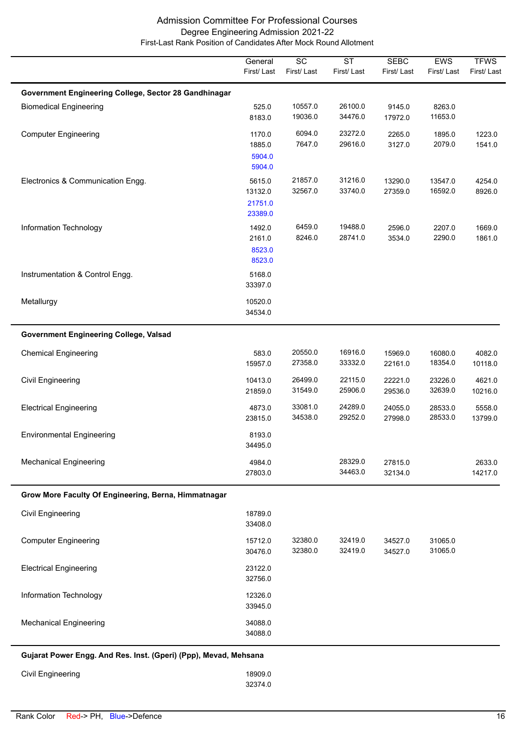|                                                       | General<br>First/Last                   | $\overline{SC}$<br>First/Last | $\overline{\text{ST}}$<br>First/Last | <b>SEBC</b><br>First/Last | EWS<br>First/Last  | <b>TFWS</b><br>First/Last |
|-------------------------------------------------------|-----------------------------------------|-------------------------------|--------------------------------------|---------------------------|--------------------|---------------------------|
| Government Engineering College, Sector 28 Gandhinagar |                                         |                               |                                      |                           |                    |                           |
| <b>Biomedical Engineering</b>                         | 525.0<br>8183.0                         | 10557.0<br>19036.0            | 26100.0<br>34476.0                   | 9145.0<br>17972.0         | 8263.0<br>11653.0  |                           |
| <b>Computer Engineering</b>                           | 1170.0<br>1885.0<br>5904.0<br>5904.0    | 6094.0<br>7647.0              | 23272.0<br>29616.0                   | 2265.0<br>3127.0          | 1895.0<br>2079.0   | 1223.0<br>1541.0          |
| Electronics & Communication Engg.                     | 5615.0<br>13132.0<br>21751.0<br>23389.0 | 21857.0<br>32567.0            | 31216.0<br>33740.0                   | 13290.0<br>27359.0        | 13547.0<br>16592.0 | 4254.0<br>8926.0          |
| Information Technology                                | 1492.0<br>2161.0<br>8523.0<br>8523.0    | 6459.0<br>8246.0              | 19488.0<br>28741.0                   | 2596.0<br>3534.0          | 2207.0<br>2290.0   | 1669.0<br>1861.0          |
| Instrumentation & Control Engg.                       | 5168.0<br>33397.0                       |                               |                                      |                           |                    |                           |
| Metallurgy                                            | 10520.0<br>34534.0                      |                               |                                      |                           |                    |                           |
| <b>Government Engineering College, Valsad</b>         |                                         |                               |                                      |                           |                    |                           |
| <b>Chemical Engineering</b>                           | 583.0<br>15957.0                        | 20550.0<br>27358.0            | 16916.0<br>33332.0                   | 15969.0<br>22161.0        | 16080.0<br>18354.0 | 4082.0<br>10118.0         |
| Civil Engineering                                     | 10413.0<br>21859.0                      | 26499.0<br>31549.0            | 22115.0<br>25906.0                   | 22221.0<br>29536.0        | 23226.0<br>32639.0 | 4621.0<br>10216.0         |
| <b>Electrical Engineering</b>                         | 4873.0<br>23815.0                       | 33081.0<br>34538.0            | 24289.0<br>29252.0                   | 24055.0<br>27998.0        | 28533.0<br>28533.0 | 5558.0<br>13799.0         |
| <b>Environmental Engineering</b>                      | 8193.0<br>34495.0                       |                               |                                      |                           |                    |                           |
| <b>Mechanical Engineering</b>                         | 4984.0<br>27803.0                       |                               | 28329.0<br>34463.0                   | 27815.0<br>32134.0        |                    | 2633.0<br>14217.0         |
| Grow More Faculty Of Engineering, Berna, Himmatnagar  |                                         |                               |                                      |                           |                    |                           |
| <b>Civil Engineering</b>                              | 18789.0<br>33408.0                      |                               |                                      |                           |                    |                           |
| <b>Computer Engineering</b>                           | 15712.0<br>30476.0                      | 32380.0<br>32380.0            | 32419.0<br>32419.0                   | 34527.0<br>34527.0        | 31065.0<br>31065.0 |                           |
| <b>Electrical Engineering</b>                         | 23122.0<br>32756.0                      |                               |                                      |                           |                    |                           |
| Information Technology                                | 12326.0<br>33945.0                      |                               |                                      |                           |                    |                           |
| <b>Mechanical Engineering</b>                         | 34088.0<br>34088.0                      |                               |                                      |                           |                    |                           |
|                                                       |                                         |                               |                                      |                           |                    |                           |

**Gujarat Power Engg. And Res. Inst. (Gperi) (Ppp), Mevad, Mehsana**

| Civil Engineering | 18909.0 |
|-------------------|---------|
|                   | 32374.0 |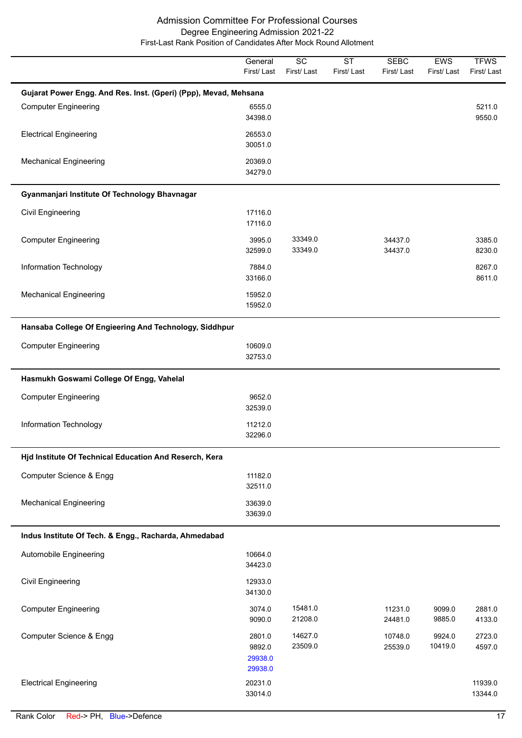|                                                                  | General<br>First/Last                  | $\overline{SC}$<br>First/Last | $\overline{\text{ST}}$<br>First/Last | <b>SEBC</b><br>First/Last | EWS<br>First/Last | <b>TFWS</b><br>First/Last |
|------------------------------------------------------------------|----------------------------------------|-------------------------------|--------------------------------------|---------------------------|-------------------|---------------------------|
| Gujarat Power Engg. And Res. Inst. (Gperi) (Ppp), Mevad, Mehsana |                                        |                               |                                      |                           |                   |                           |
| <b>Computer Engineering</b>                                      | 6555.0<br>34398.0                      |                               |                                      |                           |                   | 5211.0<br>9550.0          |
| <b>Electrical Engineering</b>                                    | 26553.0<br>30051.0                     |                               |                                      |                           |                   |                           |
| <b>Mechanical Engineering</b>                                    | 20369.0<br>34279.0                     |                               |                                      |                           |                   |                           |
| Gyanmanjari Institute Of Technology Bhavnagar                    |                                        |                               |                                      |                           |                   |                           |
| <b>Civil Engineering</b>                                         | 17116.0<br>17116.0                     |                               |                                      |                           |                   |                           |
| <b>Computer Engineering</b>                                      | 3995.0<br>32599.0                      | 33349.0<br>33349.0            |                                      | 34437.0<br>34437.0        |                   | 3385.0<br>8230.0          |
| Information Technology                                           | 7884.0<br>33166.0                      |                               |                                      |                           |                   | 8267.0<br>8611.0          |
| <b>Mechanical Engineering</b>                                    | 15952.0<br>15952.0                     |                               |                                      |                           |                   |                           |
| Hansaba College Of Engieering And Technology, Siddhpur           |                                        |                               |                                      |                           |                   |                           |
| <b>Computer Engineering</b>                                      | 10609.0<br>32753.0                     |                               |                                      |                           |                   |                           |
| Hasmukh Goswami College Of Engg, Vahelal                         |                                        |                               |                                      |                           |                   |                           |
| <b>Computer Engineering</b>                                      | 9652.0<br>32539.0                      |                               |                                      |                           |                   |                           |
| Information Technology                                           | 11212.0<br>32296.0                     |                               |                                      |                           |                   |                           |
| Hjd Institute Of Technical Education And Reserch, Kera           |                                        |                               |                                      |                           |                   |                           |
| Computer Science & Engg                                          | 11182.0<br>32511.0                     |                               |                                      |                           |                   |                           |
| <b>Mechanical Engineering</b>                                    | 33639.0<br>33639.0                     |                               |                                      |                           |                   |                           |
| Indus Institute Of Tech. & Engg., Racharda, Ahmedabad            |                                        |                               |                                      |                           |                   |                           |
| Automobile Engineering                                           | 10664.0<br>34423.0                     |                               |                                      |                           |                   |                           |
| <b>Civil Engineering</b>                                         | 12933.0<br>34130.0                     |                               |                                      |                           |                   |                           |
| <b>Computer Engineering</b>                                      | 3074.0<br>9090.0                       | 15481.0<br>21208.0            |                                      | 11231.0<br>24481.0        | 9099.0<br>9885.0  | 2881.0<br>4133.0          |
| Computer Science & Engg                                          | 2801.0<br>9892.0<br>29938.0<br>29938.0 | 14627.0<br>23509.0            |                                      | 10748.0<br>25539.0        | 9924.0<br>10419.0 | 2723.0<br>4597.0          |
| <b>Electrical Engineering</b>                                    | 20231.0<br>33014.0                     |                               |                                      |                           |                   | 11939.0<br>13344.0        |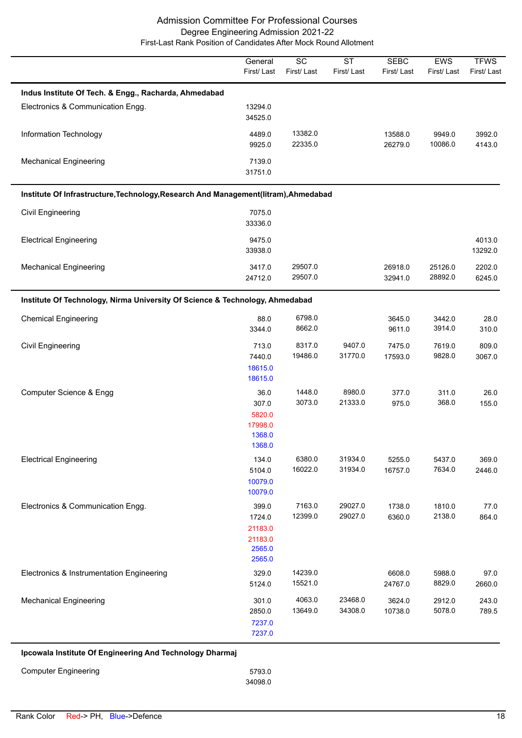|                                                                                     | General<br>First/Last                                     | $\overline{SC}$<br>First/Last | <b>ST</b><br>First/Last | <b>SEBC</b><br>First/Last | EWS<br>First/Last  | <b>TFWS</b><br>First/Last |
|-------------------------------------------------------------------------------------|-----------------------------------------------------------|-------------------------------|-------------------------|---------------------------|--------------------|---------------------------|
| Indus Institute Of Tech. & Engg., Racharda, Ahmedabad                               |                                                           |                               |                         |                           |                    |                           |
| Electronics & Communication Engg.                                                   | 13294.0<br>34525.0                                        |                               |                         |                           |                    |                           |
| Information Technology                                                              | 4489.0<br>9925.0                                          | 13382.0<br>22335.0            |                         | 13588.0<br>26279.0        | 9949.0<br>10086.0  | 3992.0<br>4143.0          |
| <b>Mechanical Engineering</b>                                                       | 7139.0<br>31751.0                                         |                               |                         |                           |                    |                           |
| Institute Of Infrastructure, Technology, Research And Management(litram), Ahmedabad |                                                           |                               |                         |                           |                    |                           |
| <b>Civil Engineering</b>                                                            | 7075.0<br>33336.0                                         |                               |                         |                           |                    |                           |
| <b>Electrical Engineering</b>                                                       | 9475.0<br>33938.0                                         |                               |                         |                           |                    | 4013.0<br>13292.0         |
| <b>Mechanical Engineering</b>                                                       | 3417.0<br>24712.0                                         | 29507.0<br>29507.0            |                         | 26918.0<br>32941.0        | 25126.0<br>28892.0 | 2202.0<br>6245.0          |
| Institute Of Technology, Nirma University Of Science & Technology, Ahmedabad        |                                                           |                               |                         |                           |                    |                           |
| <b>Chemical Engineering</b>                                                         | 88.0<br>3344.0                                            | 6798.0<br>8662.0              |                         | 3645.0<br>9611.0          | 3442.0<br>3914.0   | 28.0<br>310.0             |
| Civil Engineering                                                                   | 713.0<br>7440.0<br>18615.0<br>18615.0                     | 8317.0<br>19486.0             | 9407.0<br>31770.0       | 7475.0<br>17593.0         | 7619.0<br>9828.0   | 809.0<br>3067.0           |
| Computer Science & Engg                                                             | 36.0<br>307.0<br>5820.0<br>17998.0<br>1368.0<br>1368.0    | 1448.0<br>3073.0              | 8980.0<br>21333.0       | 377.0<br>975.0            | 311.0<br>368.0     | 26.0<br>155.0             |
| <b>Electrical Engineering</b>                                                       | 134.0<br>5104.0<br>10079.0<br>10079.0                     | 6380.0<br>16022.0             | 31934.0<br>31934.0      | 5255.0<br>16757.0         | 5437.0<br>7634.0   | 369.0<br>2446.0           |
| Electronics & Communication Engg.                                                   | 399.0<br>1724.0<br>21183.0<br>21183.0<br>2565.0<br>2565.0 | 7163.0<br>12399.0             | 29027.0<br>29027.0      | 1738.0<br>6360.0          | 1810.0<br>2138.0   | 77.0<br>864.0             |
| Electronics & Instrumentation Engineering                                           | 329.0<br>5124.0                                           | 14239.0<br>15521.0            |                         | 6608.0<br>24767.0         | 5988.0<br>8829.0   | 97.0<br>2660.0            |
| <b>Mechanical Engineering</b>                                                       | 301.0<br>2850.0<br>7237.0<br>7237.0                       | 4063.0<br>13649.0             | 23468.0<br>34308.0      | 3624.0<br>10738.0         | 2912.0<br>5078.0   | 243.0<br>789.5            |
| Ipcowala Institute Of Engineering And Technology Dharmaj                            |                                                           |                               |                         |                           |                    |                           |
| <b>Computer Engineering</b>                                                         | 5793.0                                                    |                               |                         |                           |                    |                           |

34098.0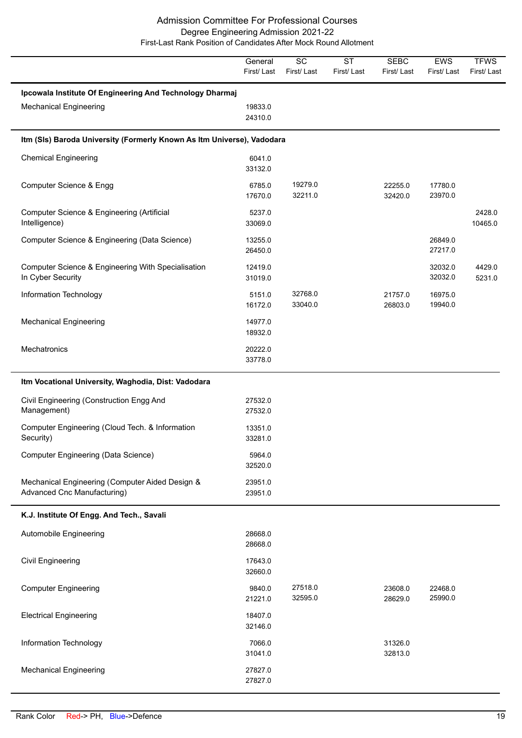|                                                                                           | General<br>First/Last | SC<br>First/Last   | <b>ST</b><br>First/Last | <b>SEBC</b><br>First/Last | EWS<br>First/Last  | <b>TFWS</b><br>First/Last |
|-------------------------------------------------------------------------------------------|-----------------------|--------------------|-------------------------|---------------------------|--------------------|---------------------------|
| Ipcowala Institute Of Engineering And Technology Dharmaj<br><b>Mechanical Engineering</b> | 19833.0<br>24310.0    |                    |                         |                           |                    |                           |
| Itm (SIs) Baroda University (Formerly Known As Itm Universe), Vadodara                    |                       |                    |                         |                           |                    |                           |
| <b>Chemical Engineering</b>                                                               | 6041.0<br>33132.0     |                    |                         |                           |                    |                           |
| Computer Science & Engg                                                                   | 6785.0<br>17670.0     | 19279.0<br>32211.0 |                         | 22255.0<br>32420.0        | 17780.0<br>23970.0 |                           |
| Computer Science & Engineering (Artificial<br>Intelligence)                               | 5237.0<br>33069.0     |                    |                         |                           |                    | 2428.0<br>10465.0         |
| Computer Science & Engineering (Data Science)                                             | 13255.0<br>26450.0    |                    |                         |                           | 26849.0<br>27217.0 |                           |
| Computer Science & Engineering With Specialisation<br>In Cyber Security                   | 12419.0<br>31019.0    |                    |                         |                           | 32032.0<br>32032.0 | 4429.0<br>5231.0          |
| Information Technology                                                                    | 5151.0<br>16172.0     | 32768.0<br>33040.0 |                         | 21757.0<br>26803.0        | 16975.0<br>19940.0 |                           |
| <b>Mechanical Engineering</b>                                                             | 14977.0<br>18932.0    |                    |                         |                           |                    |                           |
| Mechatronics                                                                              | 20222.0<br>33778.0    |                    |                         |                           |                    |                           |
| Itm Vocational University, Waghodia, Dist: Vadodara                                       |                       |                    |                         |                           |                    |                           |
| Civil Engineering (Construction Engg And<br>Management)                                   | 27532.0<br>27532.0    |                    |                         |                           |                    |                           |
| Computer Engineering (Cloud Tech. & Information<br>Security)                              | 13351.0<br>33281.0    |                    |                         |                           |                    |                           |
| Computer Engineering (Data Science)                                                       | 5964.0<br>32520.0     |                    |                         |                           |                    |                           |
| Mechanical Engineering (Computer Aided Design &<br>Advanced Cnc Manufacturing)            | 23951.0<br>23951.0    |                    |                         |                           |                    |                           |
| K.J. Institute Of Engg. And Tech., Savali                                                 |                       |                    |                         |                           |                    |                           |
| <b>Automobile Engineering</b>                                                             | 28668.0<br>28668.0    |                    |                         |                           |                    |                           |
| <b>Civil Engineering</b>                                                                  | 17643.0<br>32660.0    |                    |                         |                           |                    |                           |
| <b>Computer Engineering</b>                                                               | 9840.0<br>21221.0     | 27518.0<br>32595.0 |                         | 23608.0<br>28629.0        | 22468.0<br>25990.0 |                           |
| <b>Electrical Engineering</b>                                                             | 18407.0<br>32146.0    |                    |                         |                           |                    |                           |
| Information Technology                                                                    | 7066.0<br>31041.0     |                    |                         | 31326.0<br>32813.0        |                    |                           |
| <b>Mechanical Engineering</b>                                                             | 27827.0<br>27827.0    |                    |                         |                           |                    |                           |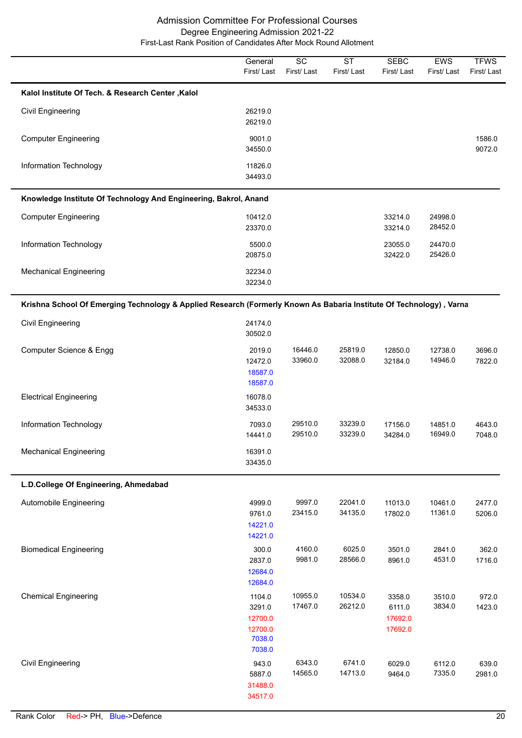|                                                                                                                     | General<br>First/Last                            | $\overline{SC}$<br>First/Last | $\overline{\text{ST}}$<br>First/Last | <b>SEBC</b><br>First/Last              | EWS<br>First/Last  | <b>TFWS</b><br>First/Last |
|---------------------------------------------------------------------------------------------------------------------|--------------------------------------------------|-------------------------------|--------------------------------------|----------------------------------------|--------------------|---------------------------|
| Kalol Institute Of Tech. & Research Center, Kalol                                                                   |                                                  |                               |                                      |                                        |                    |                           |
| <b>Civil Engineering</b>                                                                                            | 26219.0<br>26219.0                               |                               |                                      |                                        |                    |                           |
| <b>Computer Engineering</b>                                                                                         | 9001.0<br>34550.0                                |                               |                                      |                                        |                    | 1586.0<br>9072.0          |
| Information Technology                                                                                              | 11826.0<br>34493.0                               |                               |                                      |                                        |                    |                           |
| Knowledge Institute Of Technology And Engineering, Bakrol, Anand                                                    |                                                  |                               |                                      |                                        |                    |                           |
| <b>Computer Engineering</b>                                                                                         | 10412.0<br>23370.0                               |                               |                                      | 33214.0<br>33214.0                     | 24998.0<br>28452.0 |                           |
| Information Technology                                                                                              | 5500.0<br>20875.0                                |                               |                                      | 23055.0<br>32422.0                     | 24470.0<br>25426.0 |                           |
| <b>Mechanical Engineering</b>                                                                                       | 32234.0<br>32234.0                               |                               |                                      |                                        |                    |                           |
| Krishna School Of Emerging Technology & Applied Research (Formerly Known As Babaria Institute Of Technology), Varna |                                                  |                               |                                      |                                        |                    |                           |
| <b>Civil Engineering</b>                                                                                            | 24174.0<br>30502.0                               |                               |                                      |                                        |                    |                           |
| Computer Science & Engg                                                                                             | 2019.0<br>12472.0<br>18587.0                     | 16446.0<br>33960.0            | 25819.0<br>32088.0                   | 12850.0<br>32184.0                     | 12738.0<br>14946.0 | 3696.0<br>7822.0          |
| <b>Electrical Engineering</b>                                                                                       | 18587.0<br>16078.0<br>34533.0                    |                               |                                      |                                        |                    |                           |
| Information Technology                                                                                              | 7093.0<br>14441.0                                | 29510.0<br>29510.0            | 33239.0<br>33239.0                   | 17156.0<br>34284.0                     | 14851.0<br>16949.0 | 4643.0<br>7048.0          |
| <b>Mechanical Engineering</b>                                                                                       | 16391.0<br>33435.0                               |                               |                                      |                                        |                    |                           |
| L.D.College Of Engineering, Ahmedabad                                                                               |                                                  |                               |                                      |                                        |                    |                           |
| Automobile Engineering                                                                                              | 4999.0<br>9761.0<br>14221.0<br>14221.0           | 9997.0<br>23415.0             | 22041.0<br>34135.0                   | 11013.0<br>17802.0                     | 10461.0<br>11361.0 | 2477.0<br>5206.0          |
| <b>Biomedical Engineering</b>                                                                                       | 300.0<br>2837.0<br>12684.0<br>12684.0            | 4160.0<br>9981.0              | 6025.0<br>28566.0                    | 3501.0<br>8961.0                       | 2841.0<br>4531.0   | 362.0<br>1716.0           |
| <b>Chemical Engineering</b>                                                                                         | 1104.0<br>3291.0<br>12700.0<br>12700.0<br>7038.0 | 10955.0<br>17467.0            | 10534.0<br>26212.0                   | 3358.0<br>6111.0<br>17692.0<br>17692.0 | 3510.0<br>3834.0   | 972.0<br>1423.0           |
| <b>Civil Engineering</b>                                                                                            | 7038.0<br>943.0<br>5887.0<br>31488.0<br>34517.0  | 6343.0<br>14565.0             | 6741.0<br>14713.0                    | 6029.0<br>9464.0                       | 6112.0<br>7335.0   | 639.0<br>2981.0           |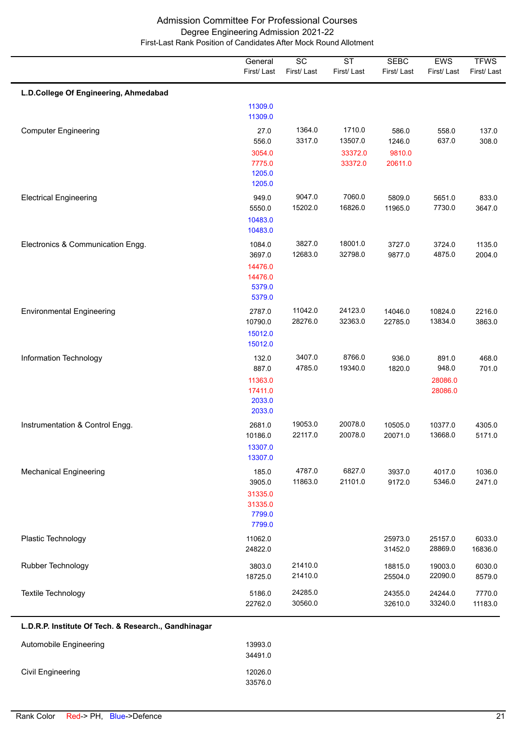|                                       | General<br>First/Last                                            | $\overline{SC}$<br>First/Last | $\overline{\text{ST}}$<br>First/Last    | <b>SEBC</b><br>First/Last            | EWS<br>First/Last                    | <b>TFWS</b><br>First/Last |
|---------------------------------------|------------------------------------------------------------------|-------------------------------|-----------------------------------------|--------------------------------------|--------------------------------------|---------------------------|
| L.D.College Of Engineering, Ahmedabad | 11309.0                                                          |                               |                                         |                                      |                                      |                           |
| <b>Computer Engineering</b>           | 11309.0<br>27.0<br>556.0<br>3054.0<br>7775.0<br>1205.0<br>1205.0 | 1364.0<br>3317.0              | 1710.0<br>13507.0<br>33372.0<br>33372.0 | 586.0<br>1246.0<br>9810.0<br>20611.0 | 558.0<br>637.0                       | 137.0<br>308.0            |
| <b>Electrical Engineering</b>         | 949.0<br>5550.0<br>10483.0<br>10483.0                            | 9047.0<br>15202.0             | 7060.0<br>16826.0                       | 5809.0<br>11965.0                    | 5651.0<br>7730.0                     | 833.0<br>3647.0           |
| Electronics & Communication Engg.     | 1084.0<br>3697.0<br>14476.0<br>14476.0<br>5379.0<br>5379.0       | 3827.0<br>12683.0             | 18001.0<br>32798.0                      | 3727.0<br>9877.0                     | 3724.0<br>4875.0                     | 1135.0<br>2004.0          |
| <b>Environmental Engineering</b>      | 2787.0<br>10790.0<br>15012.0<br>15012.0                          | 11042.0<br>28276.0            | 24123.0<br>32363.0                      | 14046.0<br>22785.0                   | 10824.0<br>13834.0                   | 2216.0<br>3863.0          |
| Information Technology                | 132.0<br>887.0<br>11363.0<br>17411.0<br>2033.0<br>2033.0         | 3407.0<br>4785.0              | 8766.0<br>19340.0                       | 936.0<br>1820.0                      | 891.0<br>948.0<br>28086.0<br>28086.0 | 468.0<br>701.0            |
| Instrumentation & Control Engg.       | 2681.0<br>10186.0<br>13307.0<br>13307.0                          | 19053.0<br>22117.0            | 20078.0<br>20078.0                      | 10505.0<br>20071.0                   | 10377.0<br>13668.0                   | 4305.0<br>5171.0          |
| <b>Mechanical Engineering</b>         | 185.0<br>3905.0<br>31335.0<br>31335.0<br>7799.0<br>7799.0        | 4787.0<br>11863.0             | 6827.0<br>21101.0                       | 3937.0<br>9172.0                     | 4017.0<br>5346.0                     | 1036.0<br>2471.0          |
| Plastic Technology                    | 11062.0<br>24822.0                                               |                               |                                         | 25973.0<br>31452.0                   | 25157.0<br>28869.0                   | 6033.0<br>16836.0         |
| Rubber Technology                     | 3803.0<br>18725.0                                                | 21410.0<br>21410.0            |                                         | 18815.0<br>25504.0                   | 19003.0<br>22090.0                   | 6030.0<br>8579.0          |
| Textile Technology                    | 5186.0<br>22762.0                                                | 24285.0<br>30560.0            |                                         | 24355.0<br>32610.0                   | 24244.0<br>33240.0                   | 7770.0<br>11183.0         |

# **L.D.R.P. Institute Of Tech. & Research., Gandhinagar**

| Automobile Engineering | 13993.0<br>34491.0 |
|------------------------|--------------------|
| Civil Engineering      | 12026.0<br>33576.0 |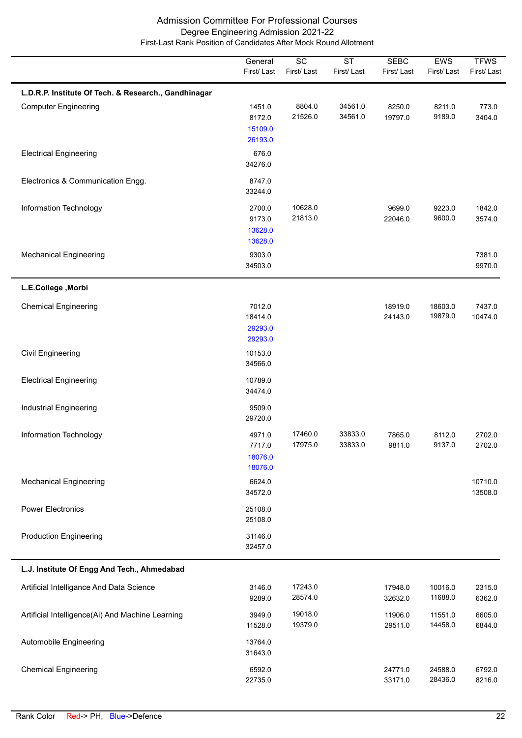|                                                      | General<br>First/Last                   | $\overline{SC}$<br>First/Last | $\overline{\text{ST}}$<br>First/Last | <b>SEBC</b><br>First/Last | <b>EWS</b><br>First/Last | <b>TFWS</b><br>First/Last |
|------------------------------------------------------|-----------------------------------------|-------------------------------|--------------------------------------|---------------------------|--------------------------|---------------------------|
| L.D.R.P. Institute Of Tech. & Research., Gandhinagar |                                         |                               |                                      |                           |                          |                           |
| <b>Computer Engineering</b>                          | 1451.0<br>8172.0<br>15109.0<br>26193.0  | 8804.0<br>21526.0             | 34561.0<br>34561.0                   | 8250.0<br>19797.0         | 8211.0<br>9189.0         | 773.0<br>3404.0           |
| <b>Electrical Engineering</b>                        | 676.0<br>34276.0                        |                               |                                      |                           |                          |                           |
| Electronics & Communication Engg.                    | 8747.0<br>33244.0                       |                               |                                      |                           |                          |                           |
| Information Technology                               | 2700.0<br>9173.0<br>13628.0<br>13628.0  | 10628.0<br>21813.0            |                                      | 9699.0<br>22046.0         | 9223.0<br>9600.0         | 1842.0<br>3574.0          |
| <b>Mechanical Engineering</b>                        | 9303.0<br>34503.0                       |                               |                                      |                           |                          | 7381.0<br>9970.0          |
| L.E.College, Morbi                                   |                                         |                               |                                      |                           |                          |                           |
| <b>Chemical Engineering</b>                          | 7012.0<br>18414.0<br>29293.0<br>29293.0 |                               |                                      | 18919.0<br>24143.0        | 18603.0<br>19879.0       | 7437.0<br>10474.0         |
| <b>Civil Engineering</b>                             | 10153.0<br>34566.0                      |                               |                                      |                           |                          |                           |
| <b>Electrical Engineering</b>                        | 10789.0<br>34474.0                      |                               |                                      |                           |                          |                           |
| <b>Industrial Engineering</b>                        | 9509.0<br>29720.0                       |                               |                                      |                           |                          |                           |
| Information Technology                               | 4971.0<br>7717.0<br>18076.0<br>18076.0  | 17460.0<br>17975.0            | 33833.0<br>33833.0                   | 7865.0<br>9811.0          | 8112.0<br>9137.0         | 2702.0<br>2702.0          |
| <b>Mechanical Engineering</b>                        | 6624.0<br>34572.0                       |                               |                                      |                           |                          | 10710.0<br>13508.0        |
| <b>Power Electronics</b>                             | 25108.0<br>25108.0                      |                               |                                      |                           |                          |                           |
| <b>Production Engineering</b>                        | 31146.0<br>32457.0                      |                               |                                      |                           |                          |                           |
| L.J. Institute Of Engg And Tech., Ahmedabad          |                                         |                               |                                      |                           |                          |                           |
| Artificial Intelligance And Data Science             | 3146.0<br>9289.0                        | 17243.0<br>28574.0            |                                      | 17948.0<br>32632.0        | 10016.0<br>11688.0       | 2315.0<br>6362.0          |
| Artificial Intelligence(Ai) And Machine Learning     | 3949.0<br>11528.0                       | 19018.0<br>19379.0            |                                      | 11906.0<br>29511.0        | 11551.0<br>14458.0       | 6605.0<br>6844.0          |
| Automobile Engineering                               | 13764.0<br>31643.0                      |                               |                                      |                           |                          |                           |
| <b>Chemical Engineering</b>                          | 6592.0<br>22735.0                       |                               |                                      | 24771.0<br>33171.0        | 24588.0<br>28436.0       | 6792.0<br>8216.0          |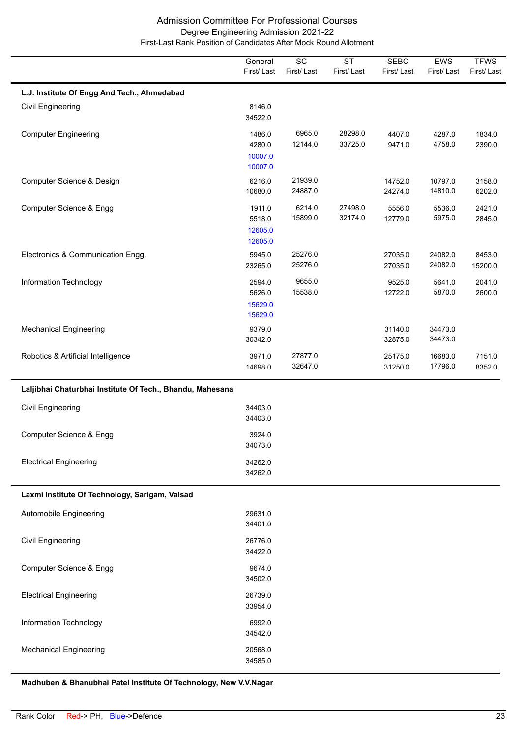|                                                           | General<br>First/Last                  | $\overline{SC}$<br>First/Last | <b>ST</b><br>First/Last | <b>SEBC</b><br>First/Last | <b>EWS</b><br>First/Last | <b>TFWS</b><br>First/Last |
|-----------------------------------------------------------|----------------------------------------|-------------------------------|-------------------------|---------------------------|--------------------------|---------------------------|
| L.J. Institute Of Engg And Tech., Ahmedabad               |                                        |                               |                         |                           |                          |                           |
| <b>Civil Engineering</b>                                  | 8146.0<br>34522.0                      |                               |                         |                           |                          |                           |
| <b>Computer Engineering</b>                               | 1486.0<br>4280.0<br>10007.0<br>10007.0 | 6965.0<br>12144.0             | 28298.0<br>33725.0      | 4407.0<br>9471.0          | 4287.0<br>4758.0         | 1834.0<br>2390.0          |
| Computer Science & Design                                 | 6216.0<br>10680.0                      | 21939.0<br>24887.0            |                         | 14752.0<br>24274.0        | 10797.0<br>14810.0       | 3158.0<br>6202.0          |
| Computer Science & Engg                                   | 1911.0<br>5518.0<br>12605.0<br>12605.0 | 6214.0<br>15899.0             | 27498.0<br>32174.0      | 5556.0<br>12779.0         | 5536.0<br>5975.0         | 2421.0<br>2845.0          |
| Electronics & Communication Engg.                         | 5945.0<br>23265.0                      | 25276.0<br>25276.0            |                         | 27035.0<br>27035.0        | 24082.0<br>24082.0       | 8453.0<br>15200.0         |
| Information Technology                                    | 2594.0<br>5626.0<br>15629.0<br>15629.0 | 9655.0<br>15538.0             |                         | 9525.0<br>12722.0         | 5641.0<br>5870.0         | 2041.0<br>2600.0          |
| <b>Mechanical Engineering</b>                             | 9379.0<br>30342.0                      |                               |                         | 31140.0<br>32875.0        | 34473.0<br>34473.0       |                           |
| Robotics & Artificial Intelligence                        | 3971.0<br>14698.0                      | 27877.0<br>32647.0            |                         | 25175.0<br>31250.0        | 16683.0<br>17796.0       | 7151.0<br>8352.0          |
| Laljibhai Chaturbhai Institute Of Tech., Bhandu, Mahesana |                                        |                               |                         |                           |                          |                           |
| Civil Engineering                                         | 34403.0<br>34403.0                     |                               |                         |                           |                          |                           |
| Computer Science & Engg                                   | 3924.0<br>34073.0                      |                               |                         |                           |                          |                           |
| <b>Electrical Engineering</b>                             | 34262.0<br>34262.0                     |                               |                         |                           |                          |                           |
| Laxmi Institute Of Technology, Sarigam, Valsad            |                                        |                               |                         |                           |                          |                           |
| Automobile Engineering                                    | 29631.0<br>34401.0                     |                               |                         |                           |                          |                           |
| Civil Engineering                                         | 26776.0<br>34422.0                     |                               |                         |                           |                          |                           |
| Computer Science & Engg                                   | 9674.0<br>34502.0                      |                               |                         |                           |                          |                           |
| <b>Electrical Engineering</b>                             | 26739.0<br>33954.0                     |                               |                         |                           |                          |                           |
| Information Technology                                    | 6992.0<br>34542.0                      |                               |                         |                           |                          |                           |
| <b>Mechanical Engineering</b>                             | 20568.0<br>34585.0                     |                               |                         |                           |                          |                           |

**Madhuben & Bhanubhai Patel Institute Of Technology, New V.V.Nagar**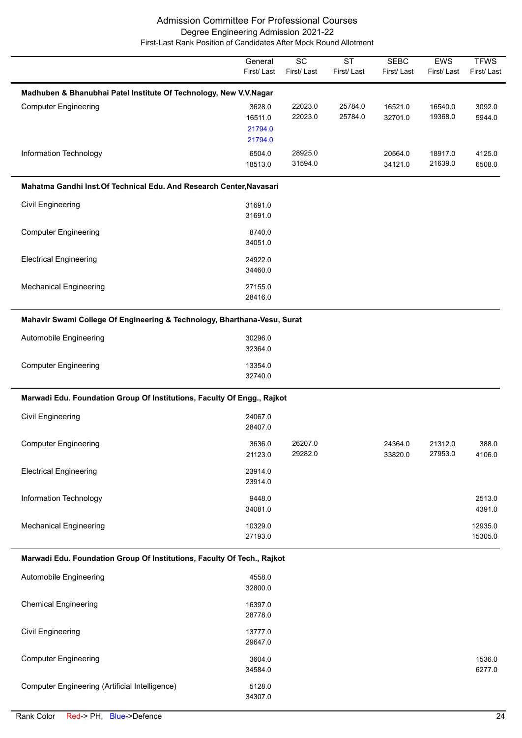|                                                                          | General<br>First/Last        | $\overline{SC}$<br>First/Last | $\overline{\text{ST}}$<br>First/Last | <b>SEBC</b><br>First/Last | <b>EWS</b><br>First/Last | <b>TFWS</b><br>First/Last |
|--------------------------------------------------------------------------|------------------------------|-------------------------------|--------------------------------------|---------------------------|--------------------------|---------------------------|
| Madhuben & Bhanubhai Patel Institute Of Technology, New V.V.Nagar        |                              |                               |                                      |                           |                          |                           |
| <b>Computer Engineering</b>                                              | 3628.0<br>16511.0<br>21794.0 | 22023.0<br>22023.0            | 25784.0<br>25784.0                   | 16521.0<br>32701.0        | 16540.0<br>19368.0       | 3092.0<br>5944.0          |
| Information Technology                                                   | 21794.0<br>6504.0<br>18513.0 | 28925.0<br>31594.0            |                                      | 20564.0<br>34121.0        | 18917.0<br>21639.0       | 4125.0<br>6508.0          |
| Mahatma Gandhi Inst. Of Technical Edu. And Research Center, Navasari     |                              |                               |                                      |                           |                          |                           |
| Civil Engineering                                                        | 31691.0<br>31691.0           |                               |                                      |                           |                          |                           |
| <b>Computer Engineering</b>                                              | 8740.0<br>34051.0            |                               |                                      |                           |                          |                           |
| <b>Electrical Engineering</b>                                            | 24922.0<br>34460.0           |                               |                                      |                           |                          |                           |
| <b>Mechanical Engineering</b>                                            | 27155.0<br>28416.0           |                               |                                      |                           |                          |                           |
| Mahavir Swami College Of Engineering & Technology, Bharthana-Vesu, Surat |                              |                               |                                      |                           |                          |                           |
| Automobile Engineering                                                   | 30296.0<br>32364.0           |                               |                                      |                           |                          |                           |
| <b>Computer Engineering</b>                                              | 13354.0<br>32740.0           |                               |                                      |                           |                          |                           |
| Marwadi Edu. Foundation Group Of Institutions, Faculty Of Engg., Rajkot  |                              |                               |                                      |                           |                          |                           |
| <b>Civil Engineering</b>                                                 | 24067.0<br>28407.0           |                               |                                      |                           |                          |                           |
| <b>Computer Engineering</b>                                              | 3636.0<br>21123.0            | 26207.0<br>29282.0            |                                      | 24364.0<br>33820.0        | 21312.0<br>27953.0       | 388.0<br>4106.0           |
| <b>Electrical Engineering</b>                                            | 23914.0<br>23914.0           |                               |                                      |                           |                          |                           |
| Information Technology                                                   | 9448.0<br>34081.0            |                               |                                      |                           |                          | 2513.0<br>4391.0          |
| <b>Mechanical Engineering</b>                                            | 10329.0<br>27193.0           |                               |                                      |                           |                          | 12935.0<br>15305.0        |
| Marwadi Edu. Foundation Group Of Institutions, Faculty Of Tech., Rajkot  |                              |                               |                                      |                           |                          |                           |
| Automobile Engineering                                                   | 4558.0<br>32800.0            |                               |                                      |                           |                          |                           |
| <b>Chemical Engineering</b>                                              | 16397.0<br>28778.0           |                               |                                      |                           |                          |                           |
| <b>Civil Engineering</b>                                                 | 13777.0<br>29647.0           |                               |                                      |                           |                          |                           |
| <b>Computer Engineering</b>                                              | 3604.0<br>34584.0            |                               |                                      |                           |                          | 1536.0<br>6277.0          |
| Computer Engineering (Artificial Intelligence)                           | 5128.0<br>34307.0            |                               |                                      |                           |                          |                           |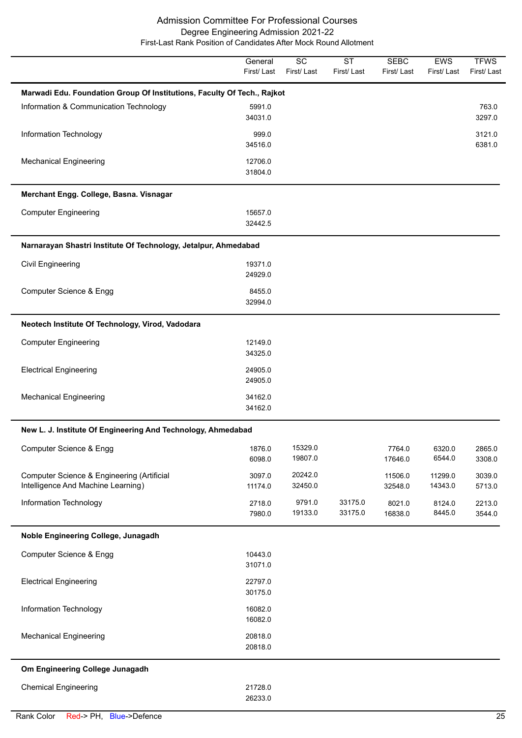|                                                                                  | General<br>First/Last | $\overline{SC}$<br>First/Last | $\overline{\text{ST}}$<br>First/Last | <b>SEBC</b><br>First/Last | EWS<br>First/Last  | <b>TFWS</b><br>First/Last |
|----------------------------------------------------------------------------------|-----------------------|-------------------------------|--------------------------------------|---------------------------|--------------------|---------------------------|
| Marwadi Edu. Foundation Group Of Institutions, Faculty Of Tech., Rajkot          |                       |                               |                                      |                           |                    |                           |
| Information & Communication Technology                                           | 5991.0<br>34031.0     |                               |                                      |                           |                    | 763.0<br>3297.0           |
| Information Technology                                                           | 999.0<br>34516.0      |                               |                                      |                           |                    | 3121.0<br>6381.0          |
| <b>Mechanical Engineering</b>                                                    | 12706.0<br>31804.0    |                               |                                      |                           |                    |                           |
| Merchant Engg. College, Basna. Visnagar                                          |                       |                               |                                      |                           |                    |                           |
| <b>Computer Engineering</b>                                                      | 15657.0<br>32442.5    |                               |                                      |                           |                    |                           |
| Narnarayan Shastri Institute Of Technology, Jetalpur, Ahmedabad                  |                       |                               |                                      |                           |                    |                           |
| <b>Civil Engineering</b>                                                         | 19371.0<br>24929.0    |                               |                                      |                           |                    |                           |
| Computer Science & Engg                                                          | 8455.0<br>32994.0     |                               |                                      |                           |                    |                           |
| Neotech Institute Of Technology, Virod, Vadodara                                 |                       |                               |                                      |                           |                    |                           |
| <b>Computer Engineering</b>                                                      | 12149.0<br>34325.0    |                               |                                      |                           |                    |                           |
| <b>Electrical Engineering</b>                                                    | 24905.0<br>24905.0    |                               |                                      |                           |                    |                           |
| <b>Mechanical Engineering</b>                                                    | 34162.0<br>34162.0    |                               |                                      |                           |                    |                           |
| New L. J. Institute Of Engineering And Technology, Ahmedabad                     |                       |                               |                                      |                           |                    |                           |
| Computer Science & Engg                                                          | 1876.0<br>6098.0      | 15329.0<br>19807.0            |                                      | 7764.0<br>17646.0         | 6320.0<br>6544.0   | 2865.0<br>3308.0          |
| Computer Science & Engineering (Artificial<br>Intelligence And Machine Learning) | 3097.0<br>11174.0     | 20242.0<br>32450.0            |                                      | 11506.0<br>32548.0        | 11299.0<br>14343.0 | 3039.0<br>5713.0          |
| Information Technology                                                           | 2718.0<br>7980.0      | 9791.0<br>19133.0             | 33175.0<br>33175.0                   | 8021.0<br>16838.0         | 8124.0<br>8445.0   | 2213.0<br>3544.0          |
| Noble Engineering College, Junagadh                                              |                       |                               |                                      |                           |                    |                           |
| Computer Science & Engg                                                          | 10443.0<br>31071.0    |                               |                                      |                           |                    |                           |
| <b>Electrical Engineering</b>                                                    | 22797.0<br>30175.0    |                               |                                      |                           |                    |                           |
| Information Technology                                                           | 16082.0<br>16082.0    |                               |                                      |                           |                    |                           |
| <b>Mechanical Engineering</b>                                                    | 20818.0<br>20818.0    |                               |                                      |                           |                    |                           |
| Om Engineering College Junagadh                                                  |                       |                               |                                      |                           |                    |                           |
| <b>Chemical Engineering</b>                                                      | 21728.0<br>26233.0    |                               |                                      |                           |                    |                           |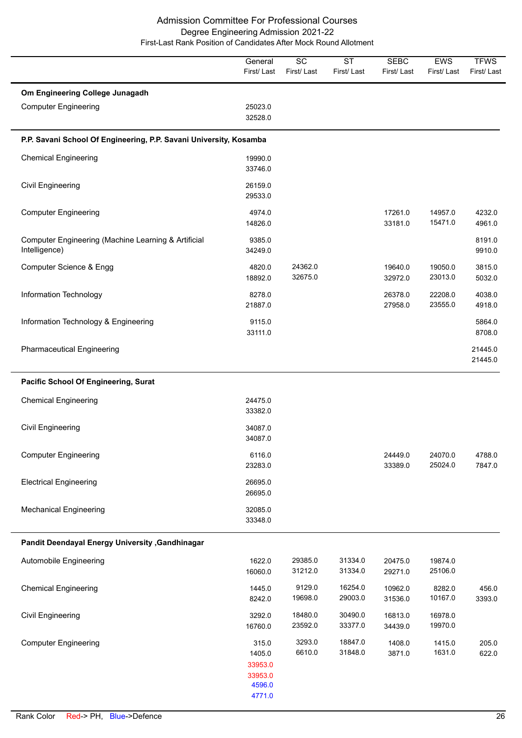|                                                                      | General<br>First/Last                                     | $\overline{SC}$<br>First/Last | <b>ST</b><br>First/Last | <b>SEBC</b><br>First/Last | EWS<br>First/Last  | <b>TFWS</b><br>First/Last |
|----------------------------------------------------------------------|-----------------------------------------------------------|-------------------------------|-------------------------|---------------------------|--------------------|---------------------------|
| Om Engineering College Junagadh<br><b>Computer Engineering</b>       | 25023.0<br>32528.0                                        |                               |                         |                           |                    |                           |
| P.P. Savani School Of Engineering, P.P. Savani University, Kosamba   |                                                           |                               |                         |                           |                    |                           |
| <b>Chemical Engineering</b>                                          | 19990.0<br>33746.0                                        |                               |                         |                           |                    |                           |
| Civil Engineering                                                    | 26159.0<br>29533.0                                        |                               |                         |                           |                    |                           |
| <b>Computer Engineering</b>                                          | 4974.0<br>14826.0                                         |                               |                         | 17261.0<br>33181.0        | 14957.0<br>15471.0 | 4232.0<br>4961.0          |
| Computer Engineering (Machine Learning & Artificial<br>Intelligence) | 9385.0<br>34249.0                                         |                               |                         |                           |                    | 8191.0<br>9910.0          |
| Computer Science & Engg                                              | 4820.0<br>18892.0                                         | 24362.0<br>32675.0            |                         | 19640.0<br>32972.0        | 19050.0<br>23013.0 | 3815.0<br>5032.0          |
| Information Technology                                               | 8278.0<br>21887.0                                         |                               |                         | 26378.0<br>27958.0        | 22208.0<br>23555.0 | 4038.0<br>4918.0          |
| Information Technology & Engineering                                 | 9115.0<br>33111.0                                         |                               |                         |                           |                    | 5864.0<br>8708.0          |
| <b>Pharmaceutical Engineering</b>                                    |                                                           |                               |                         |                           |                    | 21445.0<br>21445.0        |
| <b>Pacific School Of Engineering, Surat</b>                          |                                                           |                               |                         |                           |                    |                           |
| <b>Chemical Engineering</b>                                          | 24475.0<br>33382.0                                        |                               |                         |                           |                    |                           |
| <b>Civil Engineering</b>                                             | 34087.0<br>34087.0                                        |                               |                         |                           |                    |                           |
| <b>Computer Engineering</b>                                          | 6116.0<br>23283.0                                         |                               |                         | 24449.0<br>33389.0        | 24070.0<br>25024.0 | 4788.0<br>7847.0          |
| <b>Electrical Engineering</b>                                        | 26695.0<br>26695.0                                        |                               |                         |                           |                    |                           |
| <b>Mechanical Engineering</b>                                        | 32085.0<br>33348.0                                        |                               |                         |                           |                    |                           |
| Pandit Deendayal Energy University , Gandhinagar                     |                                                           |                               |                         |                           |                    |                           |
| Automobile Engineering                                               | 1622.0<br>16060.0                                         | 29385.0<br>31212.0            | 31334.0<br>31334.0      | 20475.0<br>29271.0        | 19874.0<br>25106.0 |                           |
| <b>Chemical Engineering</b>                                          | 1445.0<br>8242.0                                          | 9129.0<br>19698.0             | 16254.0<br>29003.0      | 10962.0<br>31536.0        | 8282.0<br>10167.0  | 456.0<br>3393.0           |
| <b>Civil Engineering</b>                                             | 3292.0<br>16760.0                                         | 18480.0<br>23592.0            | 30490.0<br>33377.0      | 16813.0<br>34439.0        | 16978.0<br>19970.0 |                           |
| <b>Computer Engineering</b>                                          | 315.0<br>1405.0<br>33953.0<br>33953.0<br>4596.0<br>4771.0 | 3293.0<br>6610.0              | 18847.0<br>31848.0      | 1408.0<br>3871.0          | 1415.0<br>1631.0   | 205.0<br>622.0            |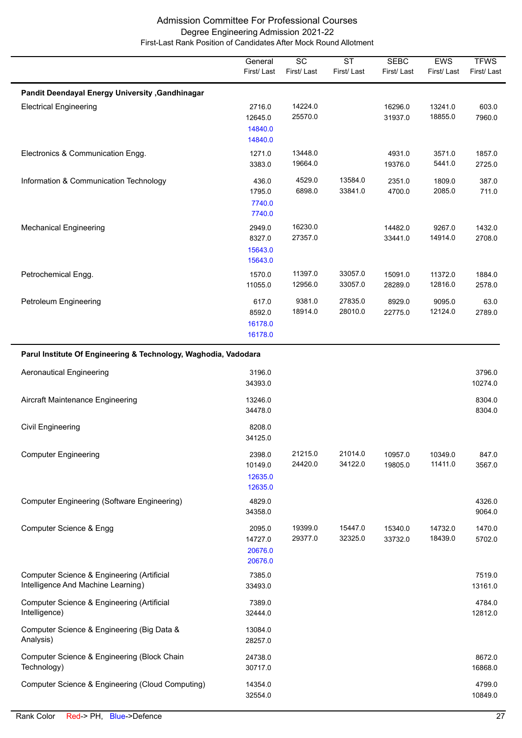|                                                                                  | General<br>First/Last                   | $\overline{SC}$<br>First/Last | $\overline{\text{ST}}$<br>First/Last | <b>SEBC</b><br>First/Last | <b>EWS</b><br>First/Last | <b>TFWS</b><br>First/Last |
|----------------------------------------------------------------------------------|-----------------------------------------|-------------------------------|--------------------------------------|---------------------------|--------------------------|---------------------------|
| Pandit Deendayal Energy University , Gandhinagar                                 |                                         |                               |                                      |                           |                          |                           |
| <b>Electrical Engineering</b>                                                    | 2716.0<br>12645.0<br>14840.0<br>14840.0 | 14224.0<br>25570.0            |                                      | 16296.0<br>31937.0        | 13241.0<br>18855.0       | 603.0<br>7960.0           |
| Electronics & Communication Engg.                                                | 1271.0<br>3383.0                        | 13448.0<br>19664.0            |                                      | 4931.0<br>19376.0         | 3571.0<br>5441.0         | 1857.0<br>2725.0          |
| Information & Communication Technology                                           | 436.0<br>1795.0<br>7740.0<br>7740.0     | 4529.0<br>6898.0              | 13584.0<br>33841.0                   | 2351.0<br>4700.0          | 1809.0<br>2085.0         | 387.0<br>711.0            |
| <b>Mechanical Engineering</b>                                                    | 2949.0<br>8327.0<br>15643.0<br>15643.0  | 16230.0<br>27357.0            |                                      | 14482.0<br>33441.0        | 9267.0<br>14914.0        | 1432.0<br>2708.0          |
| Petrochemical Engg.                                                              | 1570.0<br>11055.0                       | 11397.0<br>12956.0            | 33057.0<br>33057.0                   | 15091.0<br>28289.0        | 11372.0<br>12816.0       | 1884.0<br>2578.0          |
| Petroleum Engineering                                                            | 617.0<br>8592.0<br>16178.0<br>16178.0   | 9381.0<br>18914.0             | 27835.0<br>28010.0                   | 8929.0<br>22775.0         | 9095.0<br>12124.0        | 63.0<br>2789.0            |
| Parul Institute Of Engineering & Technology, Waghodia, Vadodara                  |                                         |                               |                                      |                           |                          |                           |
| <b>Aeronautical Engineering</b>                                                  | 3196.0<br>34393.0                       |                               |                                      |                           |                          | 3796.0<br>10274.0         |
| Aircraft Maintenance Engineering                                                 | 13246.0<br>34478.0                      |                               |                                      |                           |                          | 8304.0<br>8304.0          |
| <b>Civil Engineering</b>                                                         | 8208.0<br>34125.0                       |                               |                                      |                           |                          |                           |
| <b>Computer Engineering</b>                                                      | 2398.0<br>10149.0<br>12635.0<br>12635.0 | 21215.0<br>24420.0            | 21014.0<br>34122.0                   | 10957.0<br>19805.0        | 10349.0<br>11411.0       | 847.0<br>3567.0           |
| <b>Computer Engineering (Software Engineering)</b>                               | 4829.0<br>34358.0                       |                               |                                      |                           |                          | 4326.0<br>9064.0          |
| Computer Science & Engg                                                          | 2095.0<br>14727.0<br>20676.0<br>20676.0 | 19399.0<br>29377.0            | 15447.0<br>32325.0                   | 15340.0<br>33732.0        | 14732.0<br>18439.0       | 1470.0<br>5702.0          |
| Computer Science & Engineering (Artificial<br>Intelligence And Machine Learning) | 7385.0<br>33493.0                       |                               |                                      |                           |                          | 7519.0<br>13161.0         |
| Computer Science & Engineering (Artificial<br>Intelligence)                      | 7389.0<br>32444.0                       |                               |                                      |                           |                          | 4784.0<br>12812.0         |
| Computer Science & Engineering (Big Data &<br>Analysis)                          | 13084.0<br>28257.0                      |                               |                                      |                           |                          |                           |
| Computer Science & Engineering (Block Chain<br>Technology)                       | 24738.0<br>30717.0                      |                               |                                      |                           |                          | 8672.0<br>16868.0         |
| Computer Science & Engineering (Cloud Computing)                                 | 14354.0<br>32554.0                      |                               |                                      |                           |                          | 4799.0<br>10849.0         |

 $\overline{\phantom{a}}$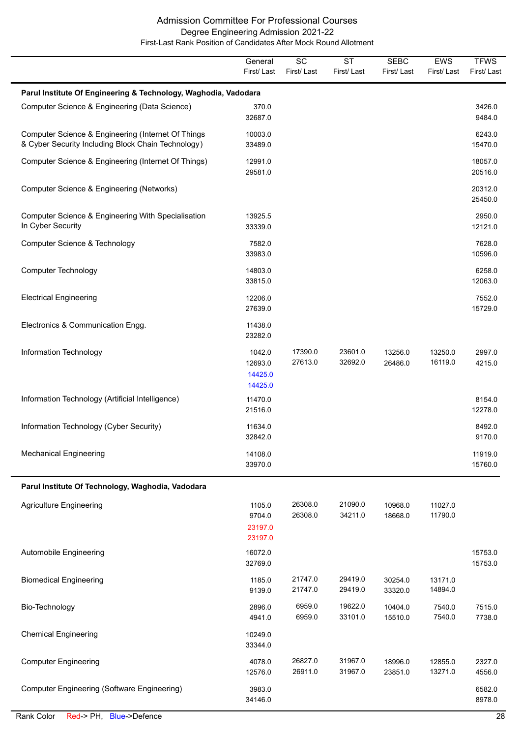|                                                                                                          | General<br>First/Last                   | $\overline{SC}$<br>First/Last | $\overline{\text{ST}}$<br>First/Last | <b>SEBC</b><br>First/Last | EWS<br>First/Last  | <b>TFWS</b><br>First/Last |
|----------------------------------------------------------------------------------------------------------|-----------------------------------------|-------------------------------|--------------------------------------|---------------------------|--------------------|---------------------------|
| Parul Institute Of Engineering & Technology, Waghodia, Vadodara                                          |                                         |                               |                                      |                           |                    |                           |
| Computer Science & Engineering (Data Science)                                                            | 370.0<br>32687.0                        |                               |                                      |                           |                    | 3426.0<br>9484.0          |
| Computer Science & Engineering (Internet Of Things<br>& Cyber Security Including Block Chain Technology) | 10003.0<br>33489.0                      |                               |                                      |                           |                    | 6243.0<br>15470.0         |
| Computer Science & Engineering (Internet Of Things)                                                      | 12991.0<br>29581.0                      |                               |                                      |                           |                    | 18057.0<br>20516.0        |
| Computer Science & Engineering (Networks)                                                                |                                         |                               |                                      |                           |                    | 20312.0<br>25450.0        |
| Computer Science & Engineering With Specialisation<br>In Cyber Security                                  | 13925.5<br>33339.0                      |                               |                                      |                           |                    | 2950.0<br>12121.0         |
| Computer Science & Technology                                                                            | 7582.0<br>33983.0                       |                               |                                      |                           |                    | 7628.0<br>10596.0         |
| <b>Computer Technology</b>                                                                               | 14803.0<br>33815.0                      |                               |                                      |                           |                    | 6258.0<br>12063.0         |
| <b>Electrical Engineering</b>                                                                            | 12206.0<br>27639.0                      |                               |                                      |                           |                    | 7552.0<br>15729.0         |
| Electronics & Communication Engg.                                                                        | 11438.0<br>23282.0                      |                               |                                      |                           |                    |                           |
| Information Technology                                                                                   | 1042.0<br>12693.0<br>14425.0<br>14425.0 | 17390.0<br>27613.0            | 23601.0<br>32692.0                   | 13256.0<br>26486.0        | 13250.0<br>16119.0 | 2997.0<br>4215.0          |
| Information Technology (Artificial Intelligence)                                                         | 11470.0<br>21516.0                      |                               |                                      |                           |                    | 8154.0<br>12278.0         |
| Information Technology (Cyber Security)                                                                  | 11634.0<br>32842.0                      |                               |                                      |                           |                    | 8492.0<br>9170.0          |
| <b>Mechanical Engineering</b>                                                                            | 14108.0<br>33970.0                      |                               |                                      |                           |                    | 11919.0<br>15760.0        |
| Parul Institute Of Technology, Waghodia, Vadodara                                                        |                                         |                               |                                      |                           |                    |                           |
| <b>Agriculture Engineering</b>                                                                           | 1105.0<br>9704.0<br>23197.0<br>23197.0  | 26308.0<br>26308.0            | 21090.0<br>34211.0                   | 10968.0<br>18668.0        | 11027.0<br>11790.0 |                           |
| Automobile Engineering                                                                                   | 16072.0<br>32769.0                      |                               |                                      |                           |                    | 15753.0<br>15753.0        |
| <b>Biomedical Engineering</b>                                                                            | 1185.0<br>9139.0                        | 21747.0<br>21747.0            | 29419.0<br>29419.0                   | 30254.0<br>33320.0        | 13171.0<br>14894.0 |                           |
| Bio-Technology                                                                                           | 2896.0<br>4941.0                        | 6959.0<br>6959.0              | 19622.0<br>33101.0                   | 10404.0<br>15510.0        | 7540.0<br>7540.0   | 7515.0<br>7738.0          |
| <b>Chemical Engineering</b>                                                                              | 10249.0<br>33344.0                      |                               |                                      |                           |                    |                           |
| <b>Computer Engineering</b>                                                                              | 4078.0<br>12576.0                       | 26827.0<br>26911.0            | 31967.0<br>31967.0                   | 18996.0<br>23851.0        | 12855.0<br>13271.0 | 2327.0<br>4556.0          |
| <b>Computer Engineering (Software Engineering)</b>                                                       | 3983.0<br>34146.0                       |                               |                                      |                           |                    | 6582.0<br>8978.0          |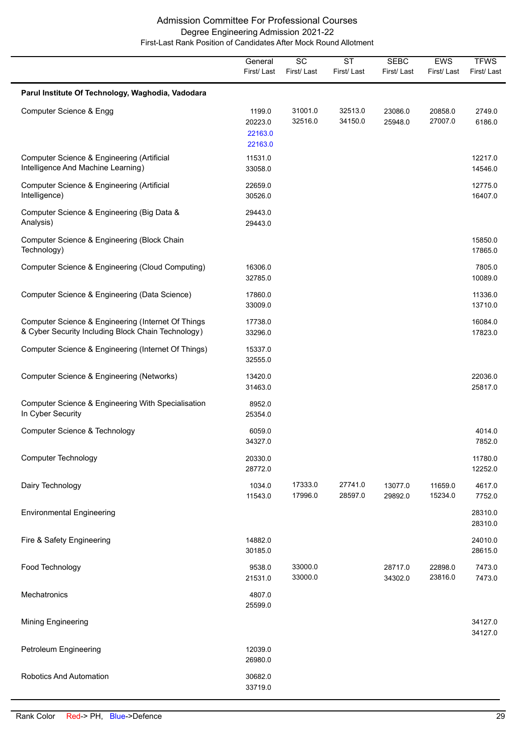|                                                                                                          | General<br>First/Last                   | $\overline{SC}$<br>First/Last | $\overline{\text{ST}}$<br>First/Last | <b>SEBC</b><br>First/Last | EWS<br>First/Last  | <b>TFWS</b><br>First/Last |
|----------------------------------------------------------------------------------------------------------|-----------------------------------------|-------------------------------|--------------------------------------|---------------------------|--------------------|---------------------------|
| Parul Institute Of Technology, Waghodia, Vadodara                                                        |                                         |                               |                                      |                           |                    |                           |
| Computer Science & Engg                                                                                  | 1199.0<br>20223.0<br>22163.0<br>22163.0 | 31001.0<br>32516.0            | 32513.0<br>34150.0                   | 23086.0<br>25948.0        | 20858.0<br>27007.0 | 2749.0<br>6186.0          |
| Computer Science & Engineering (Artificial<br>Intelligence And Machine Learning)                         | 11531.0<br>33058.0                      |                               |                                      |                           |                    | 12217.0<br>14546.0        |
| Computer Science & Engineering (Artificial<br>Intelligence)                                              | 22659.0<br>30526.0                      |                               |                                      |                           |                    | 12775.0<br>16407.0        |
| Computer Science & Engineering (Big Data &<br>Analysis)                                                  | 29443.0<br>29443.0                      |                               |                                      |                           |                    |                           |
| Computer Science & Engineering (Block Chain<br>Technology)                                               |                                         |                               |                                      |                           |                    | 15850.0<br>17865.0        |
| Computer Science & Engineering (Cloud Computing)                                                         | 16306.0<br>32785.0                      |                               |                                      |                           |                    | 7805.0<br>10089.0         |
| Computer Science & Engineering (Data Science)                                                            | 17860.0<br>33009.0                      |                               |                                      |                           |                    | 11336.0<br>13710.0        |
| Computer Science & Engineering (Internet Of Things<br>& Cyber Security Including Block Chain Technology) | 17738.0<br>33296.0                      |                               |                                      |                           |                    | 16084.0<br>17823.0        |
| Computer Science & Engineering (Internet Of Things)                                                      | 15337.0<br>32555.0                      |                               |                                      |                           |                    |                           |
| Computer Science & Engineering (Networks)                                                                | 13420.0<br>31463.0                      |                               |                                      |                           |                    | 22036.0<br>25817.0        |
| Computer Science & Engineering With Specialisation<br>In Cyber Security                                  | 8952.0<br>25354.0                       |                               |                                      |                           |                    |                           |
| Computer Science & Technology                                                                            | 6059.0<br>34327.0                       |                               |                                      |                           |                    | 4014.0<br>7852.0          |
| <b>Computer Technology</b>                                                                               | 20330.0<br>28772.0                      |                               |                                      |                           |                    | 11780.0<br>12252.0        |
| Dairy Technology                                                                                         | 1034.0<br>11543.0                       | 17333.0<br>17996.0            | 27741.0<br>28597.0                   | 13077.0<br>29892.0        | 11659.0<br>15234.0 | 4617.0<br>7752.0          |
| <b>Environmental Engineering</b>                                                                         |                                         |                               |                                      |                           |                    | 28310.0<br>28310.0        |
| Fire & Safety Engineering                                                                                | 14882.0<br>30185.0                      |                               |                                      |                           |                    | 24010.0<br>28615.0        |
| Food Technology                                                                                          | 9538.0<br>21531.0                       | 33000.0<br>33000.0            |                                      | 28717.0<br>34302.0        | 22898.0<br>23816.0 | 7473.0<br>7473.0          |
| Mechatronics                                                                                             | 4807.0<br>25599.0                       |                               |                                      |                           |                    |                           |
| <b>Mining Engineering</b>                                                                                |                                         |                               |                                      |                           |                    | 34127.0<br>34127.0        |
| Petroleum Engineering                                                                                    | 12039.0<br>26980.0                      |                               |                                      |                           |                    |                           |
| <b>Robotics And Automation</b>                                                                           | 30682.0<br>33719.0                      |                               |                                      |                           |                    |                           |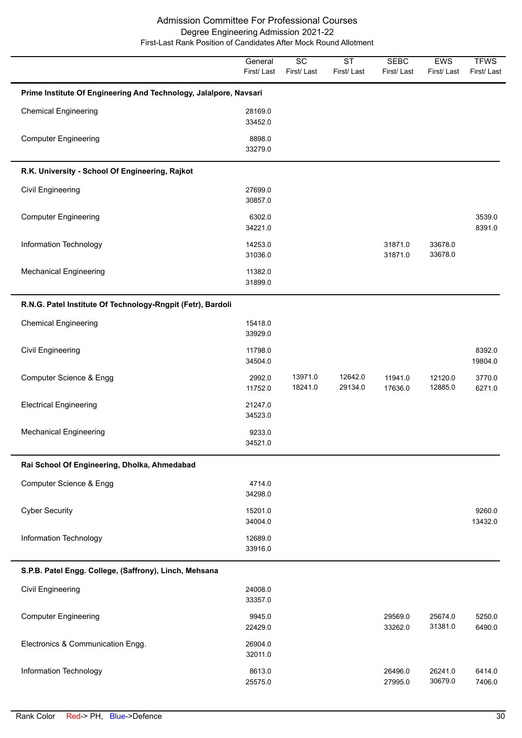|                                                                   | General<br>First/Last | SC<br>First/Last   | <b>ST</b><br>First/Last | <b>SEBC</b><br>First/Last | EWS<br>First/Last  | <b>TFWS</b><br>First/Last |
|-------------------------------------------------------------------|-----------------------|--------------------|-------------------------|---------------------------|--------------------|---------------------------|
| Prime Institute Of Engineering And Technology, Jalalpore, Navsari |                       |                    |                         |                           |                    |                           |
| <b>Chemical Engineering</b>                                       | 28169.0<br>33452.0    |                    |                         |                           |                    |                           |
| <b>Computer Engineering</b>                                       | 8898.0<br>33279.0     |                    |                         |                           |                    |                           |
| R.K. University - School Of Engineering, Rajkot                   |                       |                    |                         |                           |                    |                           |
| <b>Civil Engineering</b>                                          | 27699.0<br>30857.0    |                    |                         |                           |                    |                           |
| <b>Computer Engineering</b>                                       | 6302.0<br>34221.0     |                    |                         |                           |                    | 3539.0<br>8391.0          |
| Information Technology                                            | 14253.0<br>31036.0    |                    |                         | 31871.0<br>31871.0        | 33678.0<br>33678.0 |                           |
| <b>Mechanical Engineering</b>                                     | 11382.0<br>31899.0    |                    |                         |                           |                    |                           |
| R.N.G. Patel Institute Of Technology-Rngpit (Fetr), Bardoli       |                       |                    |                         |                           |                    |                           |
| <b>Chemical Engineering</b>                                       | 15418.0<br>33929.0    |                    |                         |                           |                    |                           |
| <b>Civil Engineering</b>                                          | 11798.0<br>34504.0    |                    |                         |                           |                    | 8392.0<br>19804.0         |
| Computer Science & Engg                                           | 2992.0<br>11752.0     | 13971.0<br>18241.0 | 12642.0<br>29134.0      | 11941.0<br>17636.0        | 12120.0<br>12885.0 | 3770.0<br>6271.0          |
| <b>Electrical Engineering</b>                                     | 21247.0<br>34523.0    |                    |                         |                           |                    |                           |
| <b>Mechanical Engineering</b>                                     | 9233.0<br>34521.0     |                    |                         |                           |                    |                           |
| Rai School Of Engineering, Dholka, Ahmedabad                      |                       |                    |                         |                           |                    |                           |
| Computer Science & Engg                                           | 4714.0<br>34298.0     |                    |                         |                           |                    |                           |
| <b>Cyber Security</b>                                             | 15201.0<br>34004.0    |                    |                         |                           |                    | 9260.0<br>13432.0         |
| Information Technology                                            | 12689.0<br>33916.0    |                    |                         |                           |                    |                           |
| S.P.B. Patel Engg. College, (Saffrony), Linch, Mehsana            |                       |                    |                         |                           |                    |                           |
| <b>Civil Engineering</b>                                          | 24008.0<br>33357.0    |                    |                         |                           |                    |                           |
| <b>Computer Engineering</b>                                       | 9945.0<br>22429.0     |                    |                         | 29569.0<br>33262.0        | 25674.0<br>31381.0 | 5250.0<br>6490.0          |
| Electronics & Communication Engg.                                 | 26904.0<br>32011.0    |                    |                         |                           |                    |                           |
| Information Technology                                            | 8613.0<br>25575.0     |                    |                         | 26496.0<br>27995.0        | 26241.0<br>30679.0 | 6414.0<br>7406.0          |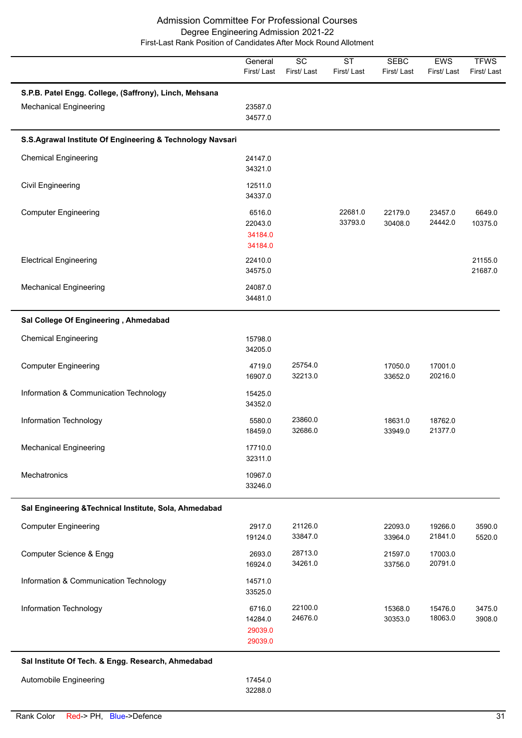|                                                                                         | General<br>First/Last                   | $\overline{SC}$<br>First/Last | <b>ST</b><br>First/Last | <b>SEBC</b><br>First/Last | EWS<br>First/Last  | <b>TFWS</b><br>First/Last |
|-----------------------------------------------------------------------------------------|-----------------------------------------|-------------------------------|-------------------------|---------------------------|--------------------|---------------------------|
| S.P.B. Patel Engg. College, (Saffrony), Linch, Mehsana<br><b>Mechanical Engineering</b> | 23587.0<br>34577.0                      |                               |                         |                           |                    |                           |
| S.S.Agrawal Institute Of Engineering & Technology Navsari                               |                                         |                               |                         |                           |                    |                           |
| <b>Chemical Engineering</b>                                                             | 24147.0<br>34321.0                      |                               |                         |                           |                    |                           |
| Civil Engineering                                                                       | 12511.0<br>34337.0                      |                               |                         |                           |                    |                           |
| <b>Computer Engineering</b>                                                             | 6516.0<br>22043.0<br>34184.0<br>34184.0 |                               | 22681.0<br>33793.0      | 22179.0<br>30408.0        | 23457.0<br>24442.0 | 6649.0<br>10375.0         |
| <b>Electrical Engineering</b>                                                           | 22410.0<br>34575.0                      |                               |                         |                           |                    | 21155.0<br>21687.0        |
| <b>Mechanical Engineering</b>                                                           | 24087.0<br>34481.0                      |                               |                         |                           |                    |                           |
| Sal College Of Engineering, Ahmedabad                                                   |                                         |                               |                         |                           |                    |                           |
| <b>Chemical Engineering</b>                                                             | 15798.0<br>34205.0                      |                               |                         |                           |                    |                           |
| <b>Computer Engineering</b>                                                             | 4719.0<br>16907.0                       | 25754.0<br>32213.0            |                         | 17050.0<br>33652.0        | 17001.0<br>20216.0 |                           |
| Information & Communication Technology                                                  | 15425.0<br>34352.0                      |                               |                         |                           |                    |                           |
| Information Technology                                                                  | 5580.0<br>18459.0                       | 23860.0<br>32686.0            |                         | 18631.0<br>33949.0        | 18762.0<br>21377.0 |                           |
| <b>Mechanical Engineering</b>                                                           | 17710.0<br>32311.0                      |                               |                         |                           |                    |                           |
| Mechatronics                                                                            | 10967.0<br>33246.0                      |                               |                         |                           |                    |                           |
| Sal Engineering & Technical Institute, Sola, Ahmedabad                                  |                                         |                               |                         |                           |                    |                           |
| <b>Computer Engineering</b>                                                             | 2917.0<br>19124.0                       | 21126.0<br>33847.0            |                         | 22093.0<br>33964.0        | 19266.0<br>21841.0 | 3590.0<br>5520.0          |
| Computer Science & Engg                                                                 | 2693.0<br>16924.0                       | 28713.0<br>34261.0            |                         | 21597.0<br>33756.0        | 17003.0<br>20791.0 |                           |
| Information & Communication Technology                                                  | 14571.0<br>33525.0                      |                               |                         |                           |                    |                           |
| Information Technology                                                                  | 6716.0<br>14284.0<br>29039.0<br>29039.0 | 22100.0<br>24676.0            |                         | 15368.0<br>30353.0        | 15476.0<br>18063.0 | 3475.0<br>3908.0          |
| Sal Institute Of Tech. & Engg. Research, Ahmedabad                                      |                                         |                               |                         |                           |                    |                           |
| Automobile Engineering                                                                  | 17454.0<br>32288.0                      |                               |                         |                           |                    |                           |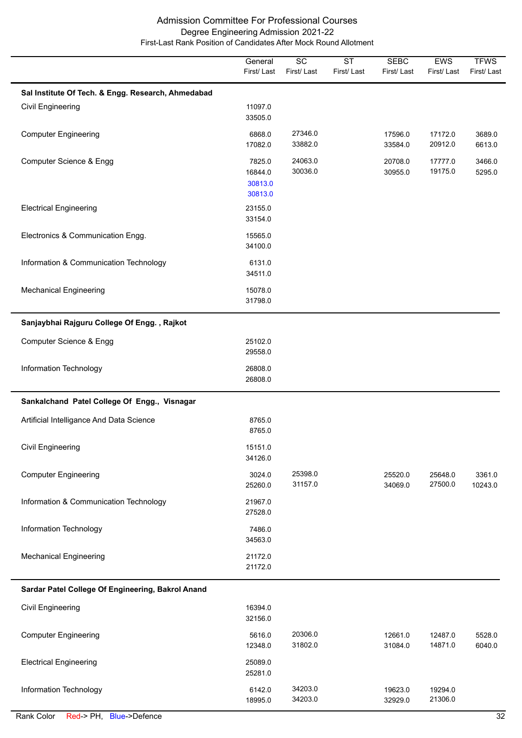|                                                    | General<br>First/Last                   | $\overline{SC}$<br>First/Last | $\overline{\text{ST}}$<br>First/Last | <b>SEBC</b><br>First/Last | EWS<br>First/Last  | <b>TFWS</b><br>First/Last |
|----------------------------------------------------|-----------------------------------------|-------------------------------|--------------------------------------|---------------------------|--------------------|---------------------------|
| Sal Institute Of Tech. & Engg. Research, Ahmedabad |                                         |                               |                                      |                           |                    |                           |
| <b>Civil Engineering</b>                           | 11097.0<br>33505.0                      |                               |                                      |                           |                    |                           |
| <b>Computer Engineering</b>                        | 6868.0<br>17082.0                       | 27346.0<br>33882.0            |                                      | 17596.0<br>33584.0        | 17172.0<br>20912.0 | 3689.0<br>6613.0          |
| Computer Science & Engg                            | 7825.0<br>16844.0<br>30813.0<br>30813.0 | 24063.0<br>30036.0            |                                      | 20708.0<br>30955.0        | 17777.0<br>19175.0 | 3466.0<br>5295.0          |
| <b>Electrical Engineering</b>                      | 23155.0<br>33154.0                      |                               |                                      |                           |                    |                           |
| Electronics & Communication Engg.                  | 15565.0<br>34100.0                      |                               |                                      |                           |                    |                           |
| Information & Communication Technology             | 6131.0<br>34511.0                       |                               |                                      |                           |                    |                           |
| <b>Mechanical Engineering</b>                      | 15078.0<br>31798.0                      |                               |                                      |                           |                    |                           |
| Sanjaybhai Rajguru College Of Engg., Rajkot        |                                         |                               |                                      |                           |                    |                           |
| Computer Science & Engg                            | 25102.0<br>29558.0                      |                               |                                      |                           |                    |                           |
| Information Technology                             | 26808.0<br>26808.0                      |                               |                                      |                           |                    |                           |
| Sankalchand Patel College Of Engg., Visnagar       |                                         |                               |                                      |                           |                    |                           |
| Artificial Intelligance And Data Science           | 8765.0<br>8765.0                        |                               |                                      |                           |                    |                           |
| <b>Civil Engineering</b>                           | 15151.0<br>34126.0                      |                               |                                      |                           |                    |                           |
| <b>Computer Engineering</b>                        | 3024.0<br>25260.0                       | 25398.0<br>31157.0            |                                      | 25520.0<br>34069.0        | 25648.0<br>27500.0 | 3361.0<br>10243.0         |
| Information & Communication Technology             | 21967.0<br>27528.0                      |                               |                                      |                           |                    |                           |
| Information Technology                             | 7486.0<br>34563.0                       |                               |                                      |                           |                    |                           |
| <b>Mechanical Engineering</b>                      | 21172.0<br>21172.0                      |                               |                                      |                           |                    |                           |
| Sardar Patel College Of Engineering, Bakrol Anand  |                                         |                               |                                      |                           |                    |                           |
| Civil Engineering                                  | 16394.0<br>32156.0                      |                               |                                      |                           |                    |                           |
| <b>Computer Engineering</b>                        | 5616.0<br>12348.0                       | 20306.0<br>31802.0            |                                      | 12661.0<br>31084.0        | 12487.0<br>14871.0 | 5528.0<br>6040.0          |
| <b>Electrical Engineering</b>                      | 25089.0<br>25281.0                      |                               |                                      |                           |                    |                           |
| Information Technology                             | 6142.0<br>18995.0                       | 34203.0<br>34203.0            |                                      | 19623.0<br>32929.0        | 19294.0<br>21306.0 |                           |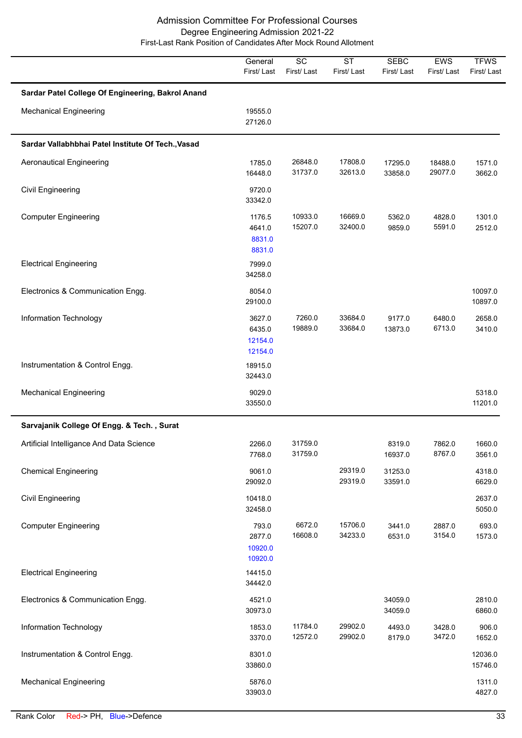|                                                    | General<br>First/Last                  | $\overline{SC}$<br>First/Last | $\overline{\text{ST}}$<br>First/Last | <b>SEBC</b><br>First/Last | EWS<br>First/Last  | <b>TFWS</b><br>First/Last |
|----------------------------------------------------|----------------------------------------|-------------------------------|--------------------------------------|---------------------------|--------------------|---------------------------|
| Sardar Patel College Of Engineering, Bakrol Anand  |                                        |                               |                                      |                           |                    |                           |
| <b>Mechanical Engineering</b>                      | 19555.0<br>27126.0                     |                               |                                      |                           |                    |                           |
| Sardar Vallabhbhai Patel Institute Of Tech., Vasad |                                        |                               |                                      |                           |                    |                           |
| <b>Aeronautical Engineering</b>                    | 1785.0<br>16448.0                      | 26848.0<br>31737.0            | 17808.0<br>32613.0                   | 17295.0<br>33858.0        | 18488.0<br>29077.0 | 1571.0<br>3662.0          |
| <b>Civil Engineering</b>                           | 9720.0<br>33342.0                      |                               |                                      |                           |                    |                           |
| <b>Computer Engineering</b>                        | 1176.5<br>4641.0<br>8831.0<br>8831.0   | 10933.0<br>15207.0            | 16669.0<br>32400.0                   | 5362.0<br>9859.0          | 4828.0<br>5591.0   | 1301.0<br>2512.0          |
| <b>Electrical Engineering</b>                      | 7999.0<br>34258.0                      |                               |                                      |                           |                    |                           |
| Electronics & Communication Engg.                  | 8054.0<br>29100.0                      |                               |                                      |                           |                    | 10097.0<br>10897.0        |
| Information Technology                             | 3627.0<br>6435.0<br>12154.0<br>12154.0 | 7260.0<br>19889.0             | 33684.0<br>33684.0                   | 9177.0<br>13873.0         | 6480.0<br>6713.0   | 2658.0<br>3410.0          |
| Instrumentation & Control Engg.                    | 18915.0<br>32443.0                     |                               |                                      |                           |                    |                           |
| <b>Mechanical Engineering</b>                      | 9029.0<br>33550.0                      |                               |                                      |                           |                    | 5318.0<br>11201.0         |
| Sarvajanik College Of Engg. & Tech., Surat         |                                        |                               |                                      |                           |                    |                           |
| Artificial Intelligance And Data Science           | 2266.0<br>7768.0                       | 31759.0<br>31759.0            |                                      | 8319.0<br>16937.0         | 7862.0<br>8767.0   | 1660.0<br>3561.0          |
| <b>Chemical Engineering</b>                        | 9061.0<br>29092.0                      |                               | 29319.0<br>29319.0                   | 31253.0<br>33591.0        |                    | 4318.0<br>6629.0          |
| <b>Civil Engineering</b>                           | 10418.0<br>32458.0                     |                               |                                      |                           |                    | 2637.0<br>5050.0          |
| <b>Computer Engineering</b>                        | 793.0<br>2877.0<br>10920.0<br>10920.0  | 6672.0<br>16608.0             | 15706.0<br>34233.0                   | 3441.0<br>6531.0          | 2887.0<br>3154.0   | 693.0<br>1573.0           |
| <b>Electrical Engineering</b>                      | 14415.0<br>34442.0                     |                               |                                      |                           |                    |                           |
| Electronics & Communication Engg.                  | 4521.0<br>30973.0                      |                               |                                      | 34059.0<br>34059.0        |                    | 2810.0<br>6860.0          |
| Information Technology                             | 1853.0<br>3370.0                       | 11784.0<br>12572.0            | 29902.0<br>29902.0                   | 4493.0<br>8179.0          | 3428.0<br>3472.0   | 906.0<br>1652.0           |
| Instrumentation & Control Engg.                    | 8301.0<br>33860.0                      |                               |                                      |                           |                    | 12036.0<br>15746.0        |
| <b>Mechanical Engineering</b>                      | 5876.0<br>33903.0                      |                               |                                      |                           |                    | 1311.0<br>4827.0          |

J.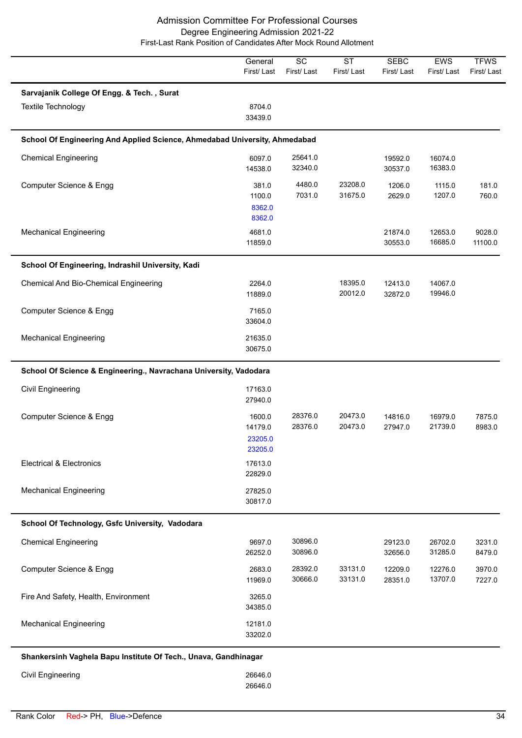|                                                                            | General<br>First/Last                   | $\overline{SC}$<br>First/Last | <b>ST</b><br>First/Last | <b>SEBC</b><br>First/Last | EWS<br>First/Last  | <b>TFWS</b><br>First/Last |
|----------------------------------------------------------------------------|-----------------------------------------|-------------------------------|-------------------------|---------------------------|--------------------|---------------------------|
| Sarvajanik College Of Engg. & Tech., Surat                                 |                                         |                               |                         |                           |                    |                           |
| Textile Technology                                                         | 8704.0<br>33439.0                       |                               |                         |                           |                    |                           |
| School Of Engineering And Applied Science, Ahmedabad University, Ahmedabad |                                         |                               |                         |                           |                    |                           |
| <b>Chemical Engineering</b>                                                | 6097.0<br>14538.0                       | 25641.0<br>32340.0            |                         | 19592.0<br>30537.0        | 16074.0<br>16383.0 |                           |
| Computer Science & Engg                                                    | 381.0<br>1100.0<br>8362.0<br>8362.0     | 4480.0<br>7031.0              | 23208.0<br>31675.0      | 1206.0<br>2629.0          | 1115.0<br>1207.0   | 181.0<br>760.0            |
| <b>Mechanical Engineering</b>                                              | 4681.0<br>11859.0                       |                               |                         | 21874.0<br>30553.0        | 12653.0<br>16685.0 | 9028.0<br>11100.0         |
| School Of Engineering, Indrashil University, Kadi                          |                                         |                               |                         |                           |                    |                           |
| <b>Chemical And Bio-Chemical Engineering</b>                               | 2264.0<br>11889.0                       |                               | 18395.0<br>20012.0      | 12413.0<br>32872.0        | 14067.0<br>19946.0 |                           |
| Computer Science & Engg                                                    | 7165.0<br>33604.0                       |                               |                         |                           |                    |                           |
| <b>Mechanical Engineering</b>                                              | 21635.0<br>30675.0                      |                               |                         |                           |                    |                           |
| School Of Science & Engineering., Navrachana University, Vadodara          |                                         |                               |                         |                           |                    |                           |
| Civil Engineering                                                          | 17163.0<br>27940.0                      |                               |                         |                           |                    |                           |
| Computer Science & Engg                                                    | 1600.0<br>14179.0<br>23205.0<br>23205.0 | 28376.0<br>28376.0            | 20473.0<br>20473.0      | 14816.0<br>27947.0        | 16979.0<br>21739.0 | 7875.0<br>8983.0          |
| <b>Electrical &amp; Electronics</b>                                        | 17613.0<br>22829.0                      |                               |                         |                           |                    |                           |
| <b>Mechanical Engineering</b>                                              | 27825.0<br>30817.0                      |                               |                         |                           |                    |                           |
| School Of Technology, Gsfc University, Vadodara                            |                                         |                               |                         |                           |                    |                           |
| <b>Chemical Engineering</b>                                                | 9697.0<br>26252.0                       | 30896.0<br>30896.0            |                         | 29123.0<br>32656.0        | 26702.0<br>31285.0 | 3231.0<br>8479.0          |
| Computer Science & Engg                                                    | 2683.0<br>11969.0                       | 28392.0<br>30666.0            | 33131.0<br>33131.0      | 12209.0<br>28351.0        | 12276.0<br>13707.0 | 3970.0<br>7227.0          |
| Fire And Safety, Health, Environment                                       | 3265.0<br>34385.0                       |                               |                         |                           |                    |                           |
| <b>Mechanical Engineering</b>                                              | 12181.0<br>33202.0                      |                               |                         |                           |                    |                           |
| Shankersinh Vaghela Bapu Institute Of Tech., Unava, Gandhinagar            |                                         |                               |                         |                           |                    |                           |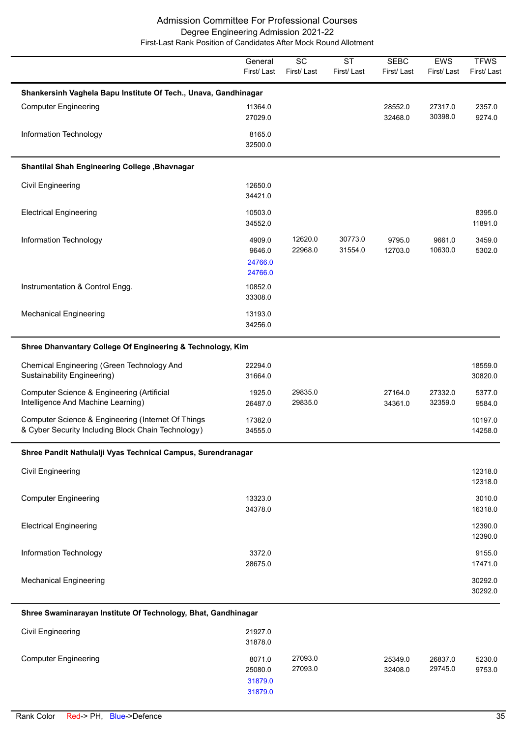|                                                                                                          | General<br>First/Last                  | $\overline{SC}$<br>First/Last | $\overline{\text{ST}}$<br>First/Last | <b>SEBC</b><br>First/Last | EWS<br>First/Last  | <b>TFWS</b><br>First/Last |
|----------------------------------------------------------------------------------------------------------|----------------------------------------|-------------------------------|--------------------------------------|---------------------------|--------------------|---------------------------|
| Shankersinh Vaghela Bapu Institute Of Tech., Unava, Gandhinagar                                          |                                        |                               |                                      |                           |                    |                           |
| <b>Computer Engineering</b>                                                                              | 11364.0<br>27029.0                     |                               |                                      | 28552.0<br>32468.0        | 27317.0<br>30398.0 | 2357.0<br>9274.0          |
| Information Technology                                                                                   | 8165.0<br>32500.0                      |                               |                                      |                           |                    |                           |
| Shantilal Shah Engineering College , Bhavnagar                                                           |                                        |                               |                                      |                           |                    |                           |
| <b>Civil Engineering</b>                                                                                 | 12650.0<br>34421.0                     |                               |                                      |                           |                    |                           |
| <b>Electrical Engineering</b>                                                                            | 10503.0<br>34552.0                     |                               |                                      |                           |                    | 8395.0<br>11891.0         |
| Information Technology                                                                                   | 4909.0<br>9646.0<br>24766.0<br>24766.0 | 12620.0<br>22968.0            | 30773.0<br>31554.0                   | 9795.0<br>12703.0         | 9661.0<br>10630.0  | 3459.0<br>5302.0          |
| Instrumentation & Control Engg.                                                                          | 10852.0<br>33308.0                     |                               |                                      |                           |                    |                           |
| <b>Mechanical Engineering</b>                                                                            | 13193.0<br>34256.0                     |                               |                                      |                           |                    |                           |
| Shree Dhanvantary College Of Engineering & Technology, Kim                                               |                                        |                               |                                      |                           |                    |                           |
| Chemical Engineering (Green Technology And<br>Sustainability Engineering)                                | 22294.0<br>31664.0                     |                               |                                      |                           |                    | 18559.0<br>30820.0        |
| Computer Science & Engineering (Artificial<br>Intelligence And Machine Learning)                         | 1925.0<br>26487.0                      | 29835.0<br>29835.0            |                                      | 27164.0<br>34361.0        | 27332.0<br>32359.0 | 5377.0<br>9584.0          |
| Computer Science & Engineering (Internet Of Things<br>& Cyber Security Including Block Chain Technology) | 17382.0<br>34555.0                     |                               |                                      |                           |                    | 10197.0<br>14258.0        |
| Shree Pandit Nathulalji Vyas Technical Campus, Surendranagar                                             |                                        |                               |                                      |                           |                    |                           |
| <b>Civil Engineering</b>                                                                                 |                                        |                               |                                      |                           |                    | 12318.0<br>12318.0        |
| <b>Computer Engineering</b>                                                                              | 13323.0<br>34378.0                     |                               |                                      |                           |                    | 3010.0<br>16318.0         |
| <b>Electrical Engineering</b>                                                                            |                                        |                               |                                      |                           |                    | 12390.0<br>12390.0        |
| Information Technology                                                                                   | 3372.0<br>28675.0                      |                               |                                      |                           |                    | 9155.0<br>17471.0         |
| <b>Mechanical Engineering</b>                                                                            |                                        |                               |                                      |                           |                    | 30292.0<br>30292.0        |
| Shroo Swaminarayan Instituto Of Tochnology, Rhat, Candhinagar                                            |                                        |                               |                                      |                           |                    |                           |

## **Shree Swaminarayan Institute Of Technology, Bhat, Gandhinagar**

| <b>Civil Engineering</b>    | 21927.0<br>31878.0 |                    |                    |                    |                  |
|-----------------------------|--------------------|--------------------|--------------------|--------------------|------------------|
| <b>Computer Engineering</b> | 8071.0<br>25080.0  | 27093.0<br>27093.0 | 25349.0<br>32408.0 | 26837.0<br>29745.0 | 5230.0<br>9753.0 |
|                             | 31879.0            |                    |                    |                    |                  |
|                             | 31879.0            |                    |                    |                    |                  |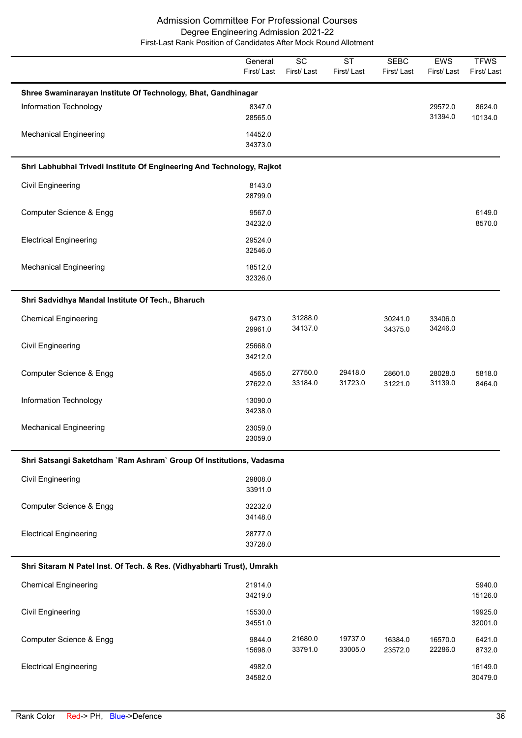|                                                                         | General<br>First/Last | SC<br>First/Last   | <b>ST</b><br>First/Last | <b>SEBC</b><br>First/Last | EWS<br>First/Last  | <b>TFWS</b><br>First/Last |
|-------------------------------------------------------------------------|-----------------------|--------------------|-------------------------|---------------------------|--------------------|---------------------------|
| Shree Swaminarayan Institute Of Technology, Bhat, Gandhinagar           |                       |                    |                         |                           |                    |                           |
| Information Technology                                                  | 8347.0<br>28565.0     |                    |                         |                           | 29572.0<br>31394.0 | 8624.0<br>10134.0         |
| <b>Mechanical Engineering</b>                                           | 14452.0<br>34373.0    |                    |                         |                           |                    |                           |
| Shri Labhubhai Trivedi Institute Of Engineering And Technology, Rajkot  |                       |                    |                         |                           |                    |                           |
| Civil Engineering                                                       | 8143.0<br>28799.0     |                    |                         |                           |                    |                           |
| Computer Science & Engg                                                 | 9567.0<br>34232.0     |                    |                         |                           |                    | 6149.0<br>8570.0          |
| <b>Electrical Engineering</b>                                           | 29524.0<br>32546.0    |                    |                         |                           |                    |                           |
| <b>Mechanical Engineering</b>                                           | 18512.0<br>32326.0    |                    |                         |                           |                    |                           |
| Shri Sadvidhya Mandal Institute Of Tech., Bharuch                       |                       |                    |                         |                           |                    |                           |
| <b>Chemical Engineering</b>                                             | 9473.0<br>29961.0     | 31288.0<br>34137.0 |                         | 30241.0<br>34375.0        | 33406.0<br>34246.0 |                           |
| Civil Engineering                                                       | 25668.0<br>34212.0    |                    |                         |                           |                    |                           |
| Computer Science & Engg                                                 | 4565.0<br>27622.0     | 27750.0<br>33184.0 | 29418.0<br>31723.0      | 28601.0<br>31221.0        | 28028.0<br>31139.0 | 5818.0<br>8464.0          |
| Information Technology                                                  | 13090.0<br>34238.0    |                    |                         |                           |                    |                           |
| <b>Mechanical Engineering</b>                                           | 23059.0<br>23059.0    |                    |                         |                           |                    |                           |
| Shri Satsangi Saketdham `Ram Ashram` Group Of Institutions, Vadasma     |                       |                    |                         |                           |                    |                           |
| Civil Engineering                                                       | 29808.0<br>33911.0    |                    |                         |                           |                    |                           |
| Computer Science & Engg                                                 | 32232.0<br>34148.0    |                    |                         |                           |                    |                           |
| <b>Electrical Engineering</b>                                           | 28777.0<br>33728.0    |                    |                         |                           |                    |                           |
| Shri Sitaram N Patel Inst. Of Tech. & Res. (Vidhyabharti Trust), Umrakh |                       |                    |                         |                           |                    |                           |
| <b>Chemical Engineering</b>                                             | 21914.0<br>34219.0    |                    |                         |                           |                    | 5940.0<br>15126.0         |
| <b>Civil Engineering</b>                                                | 15530.0<br>34551.0    |                    |                         |                           |                    | 19925.0<br>32001.0        |
| Computer Science & Engg                                                 | 9844.0<br>15698.0     | 21680.0<br>33791.0 | 19737.0<br>33005.0      | 16384.0<br>23572.0        | 16570.0<br>22286.0 | 6421.0<br>8732.0          |
| <b>Electrical Engineering</b>                                           | 4982.0<br>34582.0     |                    |                         |                           |                    | 16149.0<br>30479.0        |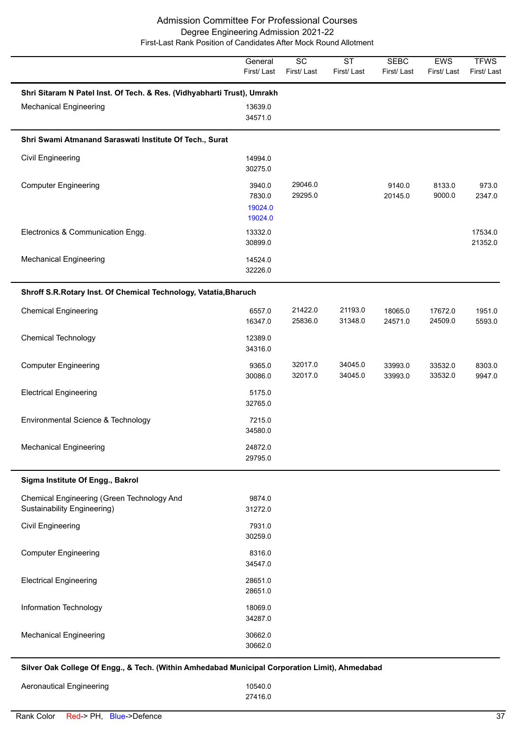|                                                                           | General<br>First/Last                  | $\overline{SC}$<br>First/Last | $\overline{\text{ST}}$<br>First/Last | <b>SEBC</b><br>First/Last | EWS<br>First/Last  | <b>TFWS</b><br>First/Last |
|---------------------------------------------------------------------------|----------------------------------------|-------------------------------|--------------------------------------|---------------------------|--------------------|---------------------------|
| Shri Sitaram N Patel Inst. Of Tech. & Res. (Vidhyabharti Trust), Umrakh   |                                        |                               |                                      |                           |                    |                           |
| <b>Mechanical Engineering</b>                                             | 13639.0<br>34571.0                     |                               |                                      |                           |                    |                           |
| Shri Swami Atmanand Saraswati Institute Of Tech., Surat                   |                                        |                               |                                      |                           |                    |                           |
| Civil Engineering                                                         | 14994.0<br>30275.0                     |                               |                                      |                           |                    |                           |
| <b>Computer Engineering</b>                                               | 3940.0<br>7830.0<br>19024.0<br>19024.0 | 29046.0<br>29295.0            |                                      | 9140.0<br>20145.0         | 8133.0<br>9000.0   | 973.0<br>2347.0           |
| Electronics & Communication Engg.                                         | 13332.0<br>30899.0                     |                               |                                      |                           |                    | 17534.0<br>21352.0        |
| <b>Mechanical Engineering</b>                                             | 14524.0<br>32226.0                     |                               |                                      |                           |                    |                           |
| Shroff S.R.Rotary Inst. Of Chemical Technology, Vatatia, Bharuch          |                                        |                               |                                      |                           |                    |                           |
| <b>Chemical Engineering</b>                                               | 6557.0<br>16347.0                      | 21422.0<br>25836.0            | 21193.0<br>31348.0                   | 18065.0<br>24571.0        | 17672.0<br>24509.0 | 1951.0<br>5593.0          |
| <b>Chemical Technology</b>                                                | 12389.0<br>34316.0                     |                               |                                      |                           |                    |                           |
| <b>Computer Engineering</b>                                               | 9365.0<br>30086.0                      | 32017.0<br>32017.0            | 34045.0<br>34045.0                   | 33993.0<br>33993.0        | 33532.0<br>33532.0 | 8303.0<br>9947.0          |
| <b>Electrical Engineering</b>                                             | 5175.0<br>32765.0                      |                               |                                      |                           |                    |                           |
| Environmental Science & Technology                                        | 7215.0<br>34580.0                      |                               |                                      |                           |                    |                           |
| <b>Mechanical Engineering</b>                                             | 24872.0<br>29795.0                     |                               |                                      |                           |                    |                           |
| Sigma Institute Of Engg., Bakrol                                          |                                        |                               |                                      |                           |                    |                           |
| Chemical Engineering (Green Technology And<br>Sustainability Engineering) | 9874.0<br>31272.0                      |                               |                                      |                           |                    |                           |
| Civil Engineering                                                         | 7931.0<br>30259.0                      |                               |                                      |                           |                    |                           |
| <b>Computer Engineering</b>                                               | 8316.0<br>34547.0                      |                               |                                      |                           |                    |                           |
| <b>Electrical Engineering</b>                                             | 28651.0<br>28651.0                     |                               |                                      |                           |                    |                           |
| Information Technology                                                    | 18069.0<br>34287.0                     |                               |                                      |                           |                    |                           |
| <b>Mechanical Engineering</b>                                             | 30662.0<br>30662.0                     |                               |                                      |                           |                    |                           |

**Silver Oak College Of Engg., & Tech. (Within Amhedabad Municipal Corporation Limit), Ahmedabad**

| Aeronautical Engineering | 10540.0 |
|--------------------------|---------|
|                          | 27416.0 |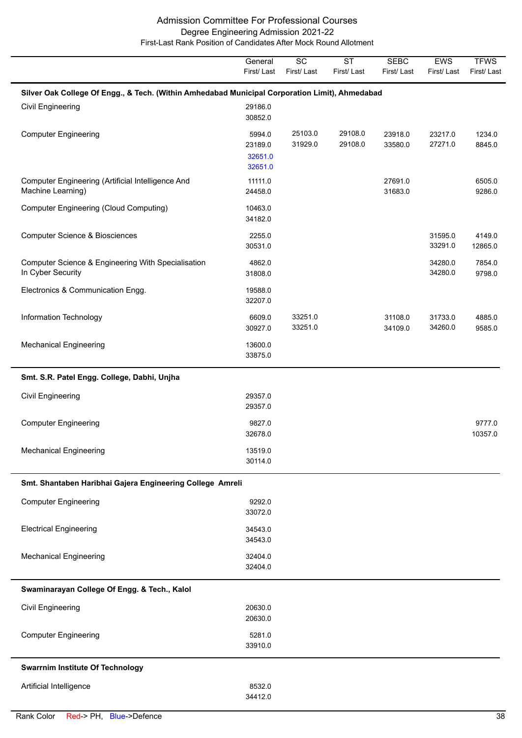|                                                                                                | General<br>First/Last                   | $\overline{SC}$<br>First/Last | $\overline{\text{ST}}$<br>First/Last | <b>SEBC</b><br>First/Last | EWS<br>First/Last  | <b>TFWS</b><br>First/Last |
|------------------------------------------------------------------------------------------------|-----------------------------------------|-------------------------------|--------------------------------------|---------------------------|--------------------|---------------------------|
| Silver Oak College Of Engg., & Tech. (Within Amhedabad Municipal Corporation Limit), Ahmedabad |                                         |                               |                                      |                           |                    |                           |
| Civil Engineering                                                                              | 29186.0<br>30852.0                      |                               |                                      |                           |                    |                           |
| <b>Computer Engineering</b>                                                                    | 5994.0<br>23189.0<br>32651.0<br>32651.0 | 25103.0<br>31929.0            | 29108.0<br>29108.0                   | 23918.0<br>33580.0        | 23217.0<br>27271.0 | 1234.0<br>8845.0          |
| Computer Engineering (Artificial Intelligence And<br>Machine Learning)                         | 11111.0<br>24458.0                      |                               |                                      | 27691.0<br>31683.0        |                    | 6505.0<br>9286.0          |
| <b>Computer Engineering (Cloud Computing)</b>                                                  | 10463.0<br>34182.0                      |                               |                                      |                           |                    |                           |
| <b>Computer Science &amp; Biosciences</b>                                                      | 2255.0<br>30531.0                       |                               |                                      |                           | 31595.0<br>33291.0 | 4149.0<br>12865.0         |
| Computer Science & Engineering With Specialisation<br>In Cyber Security                        | 4862.0<br>31808.0                       |                               |                                      |                           | 34280.0<br>34280.0 | 7854.0<br>9798.0          |
| Electronics & Communication Engg.                                                              | 19588.0<br>32207.0                      |                               |                                      |                           |                    |                           |
| Information Technology                                                                         | 6609.0<br>30927.0                       | 33251.0<br>33251.0            |                                      | 31108.0<br>34109.0        | 31733.0<br>34260.0 | 4885.0<br>9585.0          |
| <b>Mechanical Engineering</b>                                                                  | 13600.0<br>33875.0                      |                               |                                      |                           |                    |                           |
| Smt. S.R. Patel Engg. College, Dabhi, Unjha                                                    |                                         |                               |                                      |                           |                    |                           |
| <b>Civil Engineering</b>                                                                       | 29357.0<br>29357.0                      |                               |                                      |                           |                    |                           |
| <b>Computer Engineering</b>                                                                    | 9827.0<br>32678.0                       |                               |                                      |                           |                    | 9777.0<br>10357.0         |
| Mechanical Engineering                                                                         | 13519.0<br>30114.0                      |                               |                                      |                           |                    |                           |
| Smt. Shantaben Haribhai Gajera Engineering College Amreli                                      |                                         |                               |                                      |                           |                    |                           |
| <b>Computer Engineering</b>                                                                    | 9292.0<br>33072.0                       |                               |                                      |                           |                    |                           |
| <b>Electrical Engineering</b>                                                                  | 34543.0<br>34543.0                      |                               |                                      |                           |                    |                           |
| <b>Mechanical Engineering</b>                                                                  | 32404.0<br>32404.0                      |                               |                                      |                           |                    |                           |
| Swaminarayan College Of Engg. & Tech., Kalol                                                   |                                         |                               |                                      |                           |                    |                           |
| Civil Engineering                                                                              | 20630.0<br>20630.0                      |                               |                                      |                           |                    |                           |
| <b>Computer Engineering</b>                                                                    | 5281.0<br>33910.0                       |                               |                                      |                           |                    |                           |
| <b>Swarrnim Institute Of Technology</b>                                                        |                                         |                               |                                      |                           |                    |                           |
| Artificial Intelligence                                                                        | 8532.0<br>34412.0                       |                               |                                      |                           |                    |                           |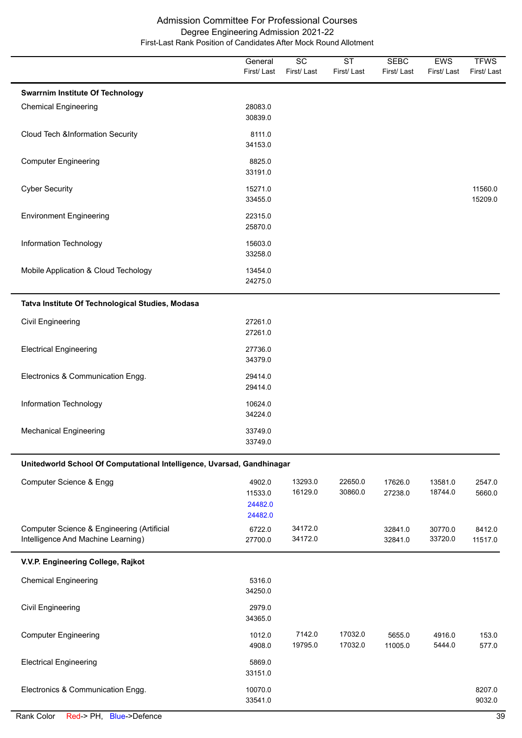|                                                                        | General            | SC                 | <b>ST</b>          | <b>SEBC</b>        | EWS                | <b>TFWS</b>        |
|------------------------------------------------------------------------|--------------------|--------------------|--------------------|--------------------|--------------------|--------------------|
|                                                                        | First/Last         | First/Last         | First/Last         | First/Last         | First/Last         | First/Last         |
| <b>Swarrnim Institute Of Technology</b>                                |                    |                    |                    |                    |                    |                    |
| <b>Chemical Engineering</b>                                            | 28083.0<br>30839.0 |                    |                    |                    |                    |                    |
| <b>Cloud Tech &amp;Information Security</b>                            | 8111.0             |                    |                    |                    |                    |                    |
|                                                                        | 34153.0            |                    |                    |                    |                    |                    |
| <b>Computer Engineering</b>                                            | 8825.0<br>33191.0  |                    |                    |                    |                    |                    |
|                                                                        |                    |                    |                    |                    |                    |                    |
| <b>Cyber Security</b>                                                  | 15271.0<br>33455.0 |                    |                    |                    |                    | 11560.0<br>15209.0 |
| <b>Environment Engineering</b>                                         | 22315.0            |                    |                    |                    |                    |                    |
|                                                                        | 25870.0            |                    |                    |                    |                    |                    |
| Information Technology                                                 | 15603.0            |                    |                    |                    |                    |                    |
|                                                                        | 33258.0            |                    |                    |                    |                    |                    |
| Mobile Application & Cloud Techology                                   | 13454.0            |                    |                    |                    |                    |                    |
|                                                                        | 24275.0            |                    |                    |                    |                    |                    |
| Tatva Institute Of Technological Studies, Modasa                       |                    |                    |                    |                    |                    |                    |
| Civil Engineering                                                      | 27261.0            |                    |                    |                    |                    |                    |
|                                                                        | 27261.0            |                    |                    |                    |                    |                    |
| <b>Electrical Engineering</b>                                          | 27736.0            |                    |                    |                    |                    |                    |
|                                                                        | 34379.0            |                    |                    |                    |                    |                    |
| Electronics & Communication Engg.                                      | 29414.0            |                    |                    |                    |                    |                    |
|                                                                        | 29414.0            |                    |                    |                    |                    |                    |
| Information Technology                                                 | 10624.0<br>34224.0 |                    |                    |                    |                    |                    |
|                                                                        |                    |                    |                    |                    |                    |                    |
| <b>Mechanical Engineering</b>                                          | 33749.0<br>33749.0 |                    |                    |                    |                    |                    |
|                                                                        |                    |                    |                    |                    |                    |                    |
| Unitedworld School Of Computational Intelligence, Uvarsad, Gandhinagar |                    |                    |                    |                    |                    |                    |
| Computer Science & Engg                                                | 4902.0<br>11533.0  | 13293.0<br>16129.0 | 22650.0<br>30860.0 | 17626.0<br>27238.0 | 13581.0<br>18744.0 | 2547.0<br>5660.0   |
|                                                                        | 24482.0            |                    |                    |                    |                    |                    |
|                                                                        | 24482.0            |                    |                    |                    |                    |                    |
| Computer Science & Engineering (Artificial                             | 6722.0             | 34172.0            |                    | 32841.0            | 30770.0            | 8412.0             |
| Intelligence And Machine Learning)                                     | 27700.0            | 34172.0            |                    | 32841.0            | 33720.0            | 11517.0            |
| V.V.P. Engineering College, Rajkot                                     |                    |                    |                    |                    |                    |                    |
| <b>Chemical Engineering</b>                                            | 5316.0<br>34250.0  |                    |                    |                    |                    |                    |
| <b>Civil Engineering</b>                                               | 2979.0             |                    |                    |                    |                    |                    |
|                                                                        | 34365.0            |                    |                    |                    |                    |                    |
| <b>Computer Engineering</b>                                            | 1012.0<br>4908.0   | 7142.0<br>19795.0  | 17032.0<br>17032.0 | 5655.0<br>11005.0  | 4916.0<br>5444.0   | 153.0<br>577.0     |
|                                                                        |                    |                    |                    |                    |                    |                    |
| <b>Electrical Engineering</b>                                          | 5869.0<br>33151.0  |                    |                    |                    |                    |                    |
| Electronics & Communication Engg.                                      | 10070.0            |                    |                    |                    |                    | 8207.0             |
|                                                                        | 33541.0            |                    |                    |                    |                    | 9032.0             |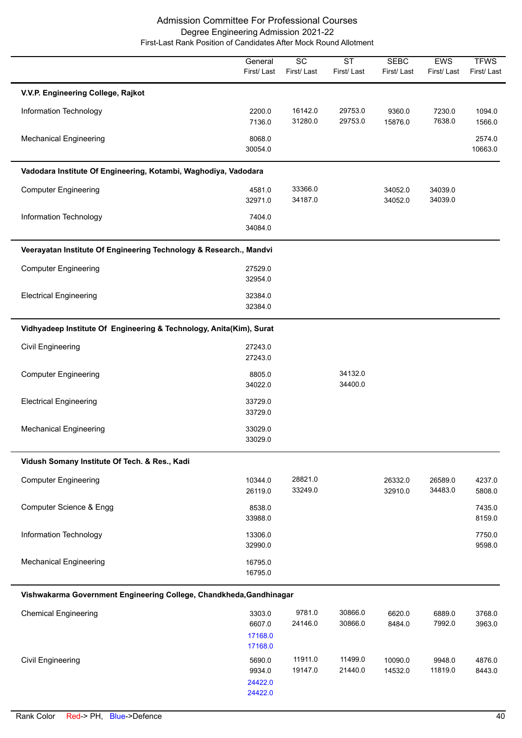|                                                                     | General<br>First/Last                  | $\overline{SC}$<br>First/Last | $\overline{\text{ST}}$<br>First/Last | <b>SEBC</b><br>First/Last | EWS<br>First/Last  | <b>TFWS</b><br>First/Last |
|---------------------------------------------------------------------|----------------------------------------|-------------------------------|--------------------------------------|---------------------------|--------------------|---------------------------|
| V.V.P. Engineering College, Rajkot                                  |                                        |                               |                                      |                           |                    |                           |
| Information Technology                                              | 2200.0<br>7136.0                       | 16142.0<br>31280.0            | 29753.0<br>29753.0                   | 9360.0<br>15876.0         | 7230.0<br>7638.0   | 1094.0<br>1566.0          |
| <b>Mechanical Engineering</b>                                       | 8068.0<br>30054.0                      |                               |                                      |                           |                    | 2574.0<br>10663.0         |
| Vadodara Institute Of Engineering, Kotambi, Waghodiya, Vadodara     |                                        |                               |                                      |                           |                    |                           |
| <b>Computer Engineering</b>                                         | 4581.0<br>32971.0                      | 33366.0<br>34187.0            |                                      | 34052.0<br>34052.0        | 34039.0<br>34039.0 |                           |
| Information Technology                                              | 7404.0<br>34084.0                      |                               |                                      |                           |                    |                           |
| Veerayatan Institute Of Engineering Technology & Research., Mandvi  |                                        |                               |                                      |                           |                    |                           |
| <b>Computer Engineering</b>                                         | 27529.0<br>32954.0                     |                               |                                      |                           |                    |                           |
| <b>Electrical Engineering</b>                                       | 32384.0<br>32384.0                     |                               |                                      |                           |                    |                           |
| Vidhyadeep Institute Of Engineering & Technology, Anita(Kim), Surat |                                        |                               |                                      |                           |                    |                           |
| Civil Engineering                                                   | 27243.0<br>27243.0                     |                               |                                      |                           |                    |                           |
| <b>Computer Engineering</b>                                         | 8805.0<br>34022.0                      |                               | 34132.0<br>34400.0                   |                           |                    |                           |
| <b>Electrical Engineering</b>                                       | 33729.0<br>33729.0                     |                               |                                      |                           |                    |                           |
| <b>Mechanical Engineering</b>                                       | 33029.0<br>33029.0                     |                               |                                      |                           |                    |                           |
| Vidush Somany Institute Of Tech. & Res., Kadi                       |                                        |                               |                                      |                           |                    |                           |
| <b>Computer Engineering</b>                                         | 10344.0<br>26119.0                     | 28821.0<br>33249.0            |                                      | 26332.0<br>32910.0        | 26589.0<br>34483.0 | 4237.0<br>5808.0          |
| Computer Science & Engg                                             | 8538.0<br>33988.0                      |                               |                                      |                           |                    | 7435.0<br>8159.0          |
| Information Technology                                              | 13306.0<br>32990.0                     |                               |                                      |                           |                    | 7750.0<br>9598.0          |
| <b>Mechanical Engineering</b>                                       | 16795.0<br>16795.0                     |                               |                                      |                           |                    |                           |
| Vishwakarma Government Engineering College, Chandkheda, Gandhinagar |                                        |                               |                                      |                           |                    |                           |
| <b>Chemical Engineering</b>                                         | 3303.0<br>6607.0<br>17168.0<br>17168.0 | 9781.0<br>24146.0             | 30866.0<br>30866.0                   | 6620.0<br>8484.0          | 6889.0<br>7992.0   | 3768.0<br>3963.0          |
| <b>Civil Engineering</b>                                            | 5690.0<br>9934.0                       | 11911.0<br>19147.0            | 11499.0<br>21440.0                   | 10090.0<br>14532.0        | 9948.0<br>11819.0  | 4876.0<br>8443.0          |

 24422.0 24422.0